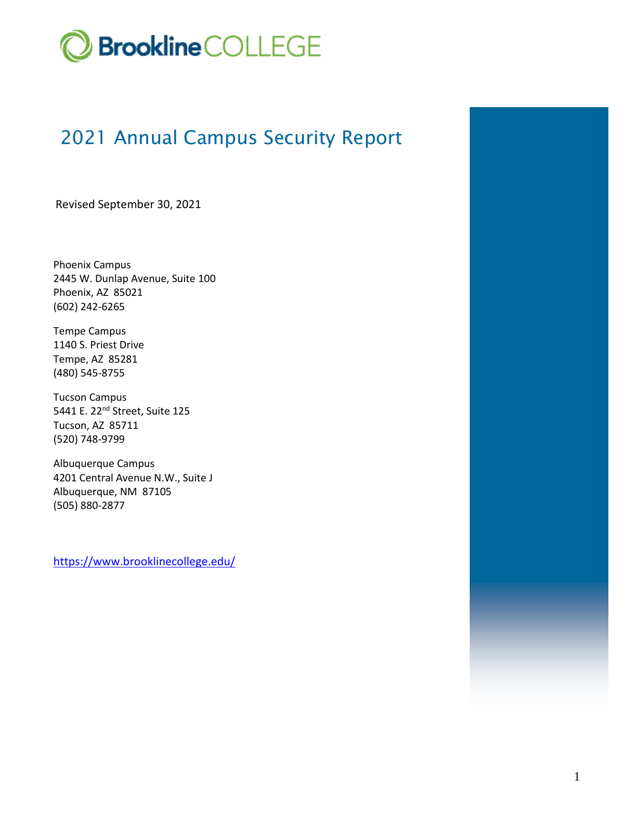

# 2021 Annual Campus Security Report

Revised September 30, 2021

Phoenix Campus 2445 W. Dunlap Avenue, Suite 100 Phoenix, AZ 85021 (602) 242-6265

Tempe Campus 1140 S. Priest Drive Tempe, AZ 85281 (480) 545-8755

Tucson Campus 5441 E. 22<sup>nd</sup> Street, Suite 125 Tucson, AZ 85711 (520) 748-9799

Albuquerque Campus 4201 Central Avenue N.W., Suite J Albuquerque, NM 87105 (505) 880-2877

<https://www.brooklinecollege.edu/>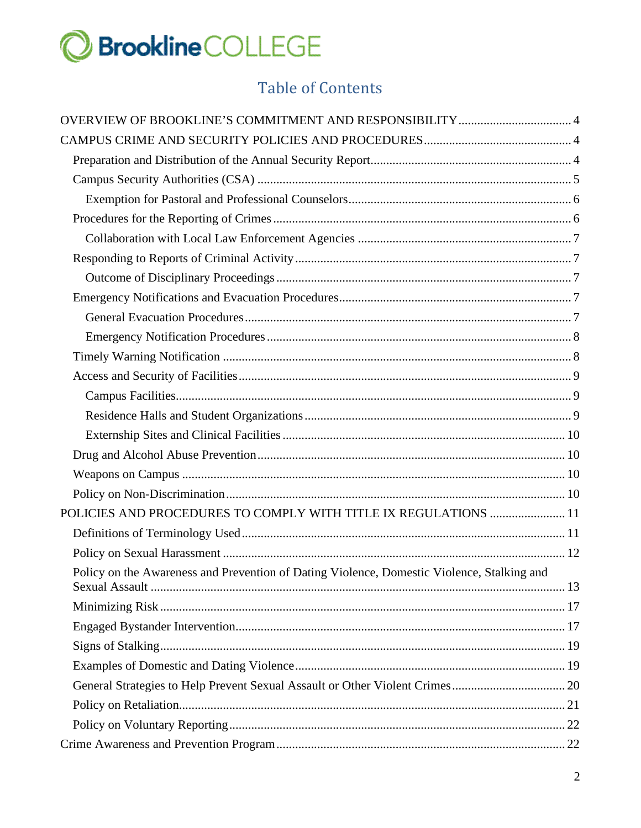

# **Table of Contents**

| POLICIES AND PROCEDURES TO COMPLY WITH TITLE IX REGULATIONS  11                            |  |
|--------------------------------------------------------------------------------------------|--|
|                                                                                            |  |
|                                                                                            |  |
| Policy on the Awareness and Prevention of Dating Violence, Domestic Violence, Stalking and |  |
|                                                                                            |  |
|                                                                                            |  |
|                                                                                            |  |
|                                                                                            |  |
|                                                                                            |  |
|                                                                                            |  |
|                                                                                            |  |
|                                                                                            |  |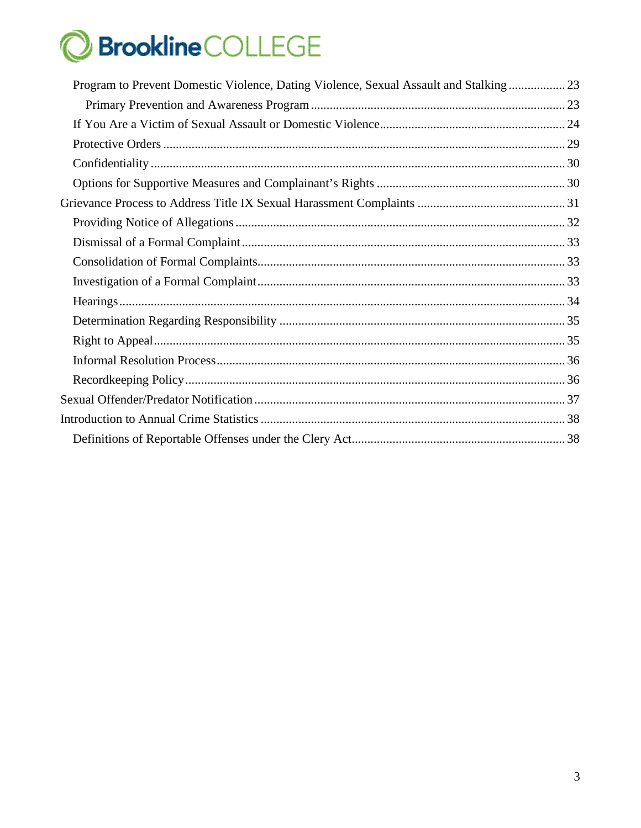# **@BrooklineCOLLEGE**

| Program to Prevent Domestic Violence, Dating Violence, Sexual Assault and Stalking 23 |  |
|---------------------------------------------------------------------------------------|--|
|                                                                                       |  |
|                                                                                       |  |
|                                                                                       |  |
|                                                                                       |  |
|                                                                                       |  |
|                                                                                       |  |
|                                                                                       |  |
|                                                                                       |  |
|                                                                                       |  |
|                                                                                       |  |
|                                                                                       |  |
|                                                                                       |  |
|                                                                                       |  |
|                                                                                       |  |
|                                                                                       |  |
|                                                                                       |  |
|                                                                                       |  |
|                                                                                       |  |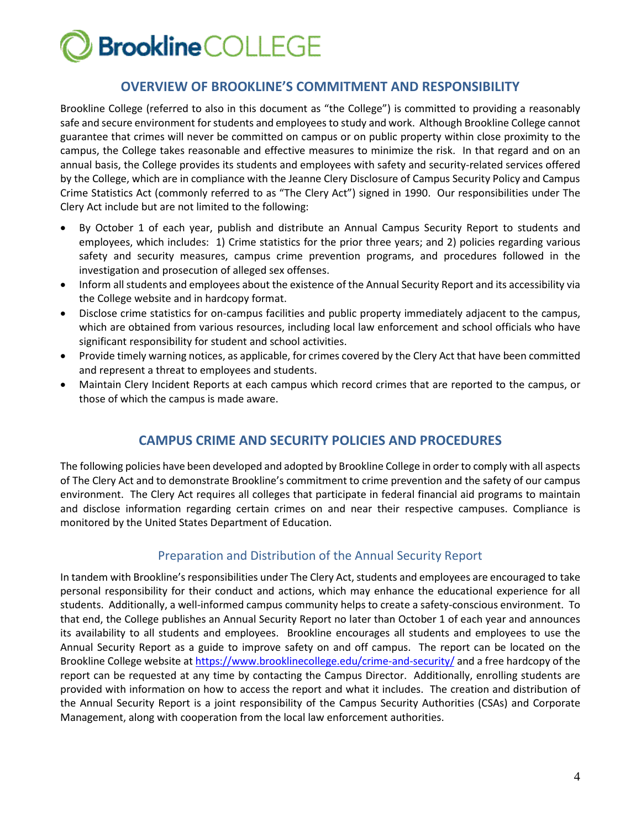# **Brookline** COLLEGE

# **OVERVIEW OF BROOKLINE'S COMMITMENT AND RESPONSIBILITY**

Brookline College (referred to also in this document as "the College") is committed to providing a reasonably safe and secure environment for students and employees to study and work. Although Brookline College cannot guarantee that crimes will never be committed on campus or on public property within close proximity to the campus, the College takes reasonable and effective measures to minimize the risk. In that regard and on an annual basis, the College provides its students and employees with safety and security-related services offered by the College, which are in compliance with the Jeanne Clery Disclosure of Campus Security Policy and Campus Crime Statistics Act (commonly referred to as "The Clery Act") signed in 1990. Our responsibilities under The Clery Act include but are not limited to the following:

- By October 1 of each year, publish and distribute an Annual Campus Security Report to students and employees, which includes: 1) Crime statistics for the prior three years; and 2) policies regarding various safety and security measures, campus crime prevention programs, and procedures followed in the investigation and prosecution of alleged sex offenses.
- Inform all students and employees about the existence of the Annual Security Report and its accessibility via the College website and in hardcopy format.
- Disclose crime statistics for on-campus facilities and public property immediately adjacent to the campus, which are obtained from various resources, including local law enforcement and school officials who have significant responsibility for student and school activities.
- Provide timely warning notices, as applicable, for crimes covered by the Clery Act that have been committed and represent a threat to employees and students.
- Maintain Clery Incident Reports at each campus which record crimes that are reported to the campus, or those of which the campus is made aware.

# **CAMPUS CRIME AND SECURITY POLICIES AND PROCEDURES**

The following policies have been developed and adopted by Brookline College in order to comply with all aspects of The Clery Act and to demonstrate Brookline's commitment to crime prevention and the safety of our campus environment. The Clery Act requires all colleges that participate in federal financial aid programs to maintain and disclose information regarding certain crimes on and near their respective campuses. Compliance is monitored by the United States Department of Education.

## Preparation and Distribution of the Annual Security Report

In tandem with Brookline's responsibilities under The Clery Act, students and employees are encouraged to take personal responsibility for their conduct and actions, which may enhance the educational experience for all students. Additionally, a well-informed campus community helps to create a safety-conscious environment. To that end, the College publishes an Annual Security Report no later than October 1 of each year and announces its availability to all students and employees. Brookline encourages all students and employees to use the Annual Security Report as a guide to improve safety on and off campus. The report can be located on the Brookline College website a[t https://www.brooklinecollege.edu/crime-and-security/](https://www.brooklinecollege.edu/crime-and-security/) and a free hardcopy of the report can be requested at any time by contacting the Campus Director. Additionally, enrolling students are provided with information on how to access the report and what it includes. The creation and distribution of the Annual Security Report is a joint responsibility of the Campus Security Authorities (CSAs) and Corporate Management, along with cooperation from the local law enforcement authorities.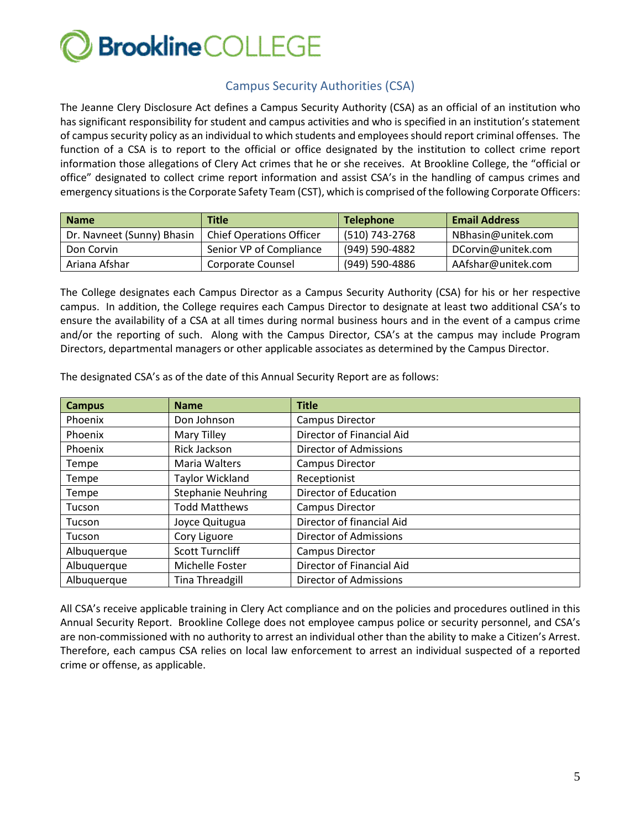

# Campus Security Authorities (CSA)

The Jeanne Clery Disclosure Act defines a Campus Security Authority (CSA) as an official of an institution who has significant responsibility for student and campus activities and who is specified in an institution's statement of campus security policy as an individual to which students and employees should report criminal offenses. The function of a CSA is to report to the official or office designated by the institution to collect crime report information those allegations of Clery Act crimes that he or she receives. At Brookline College, the "official or office" designated to collect crime report information and assist CSA's in the handling of campus crimes and emergency situations is the Corporate Safety Team (CST), which is comprised of the following Corporate Officers:

| <b>Name</b>                | <b>Title</b>                    | <b>Telephone</b> | <b>Email Address</b> |
|----------------------------|---------------------------------|------------------|----------------------|
| Dr. Navneet (Sunny) Bhasin | <b>Chief Operations Officer</b> | (510) 743-2768   | NBhasin@unitek.com   |
| Don Corvin                 | Senior VP of Compliance         | (949) 590-4882   | DCorvin@unitek.com   |
| Ariana Afshar              | Corporate Counsel               | (949) 590-4886   | AAfshar@unitek.com   |

The College designates each Campus Director as a Campus Security Authority (CSA) for his or her respective campus. In addition, the College requires each Campus Director to designate at least two additional CSA's to ensure the availability of a CSA at all times during normal business hours and in the event of a campus crime and/or the reporting of such. Along with the Campus Director, CSA's at the campus may include Program Directors, departmental managers or other applicable associates as determined by the Campus Director.

The designated CSA's as of the date of this Annual Security Report are as follows:

| <b>Campus</b> | <b>Name</b>               | <b>Title</b>                  |
|---------------|---------------------------|-------------------------------|
| Phoenix       | Don Johnson               | Campus Director               |
| Phoenix       | Mary Tilley               | Director of Financial Aid     |
| Phoenix       | <b>Rick Jackson</b>       | <b>Director of Admissions</b> |
| Tempe         | Maria Walters             | Campus Director               |
| Tempe         | Taylor Wickland           | Receptionist                  |
| Tempe         | <b>Stephanie Neuhring</b> | Director of Education         |
| Tucson        | <b>Todd Matthews</b>      | Campus Director               |
| Tucson        | Joyce Quitugua            | Director of financial Aid     |
| Tucson        | Cory Liguore              | <b>Director of Admissions</b> |
| Albuquerque   | <b>Scott Turncliff</b>    | Campus Director               |
| Albuquerque   | Michelle Foster           | Director of Financial Aid     |
| Albuquerque   | <b>Tina Threadgill</b>    | <b>Director of Admissions</b> |

All CSA's receive applicable training in Clery Act compliance and on the policies and procedures outlined in this Annual Security Report. Brookline College does not employee campus police or security personnel, and CSA's are non-commissioned with no authority to arrest an individual other than the ability to make a Citizen's Arrest. Therefore, each campus CSA relies on local law enforcement to arrest an individual suspected of a reported crime or offense, as applicable.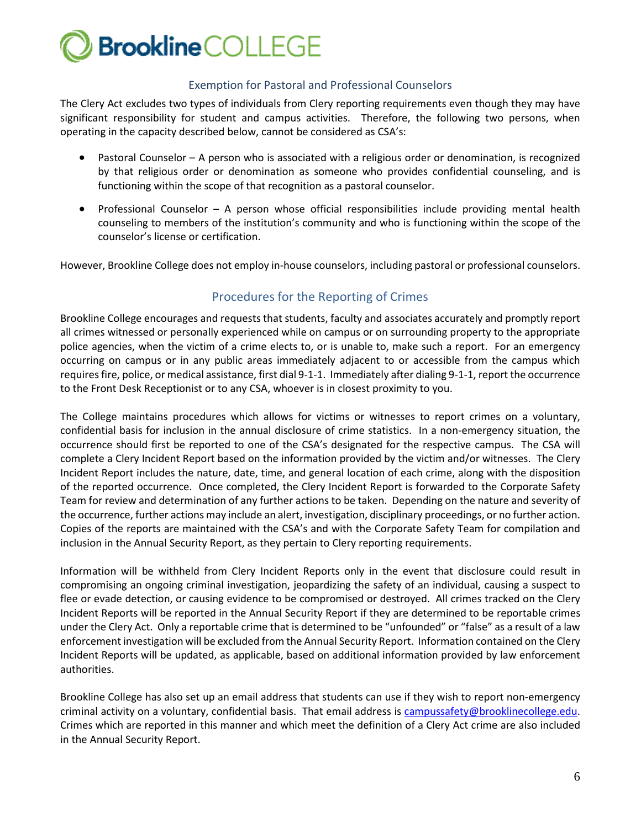

#### Exemption for Pastoral and Professional Counselors

The Clery Act excludes two types of individuals from Clery reporting requirements even though they may have significant responsibility for student and campus activities. Therefore, the following two persons, when operating in the capacity described below, cannot be considered as CSA's:

- Pastoral Counselor A person who is associated with a religious order or denomination, is recognized by that religious order or denomination as someone who provides confidential counseling, and is functioning within the scope of that recognition as a pastoral counselor.
- Professional Counselor A person whose official responsibilities include providing mental health counseling to members of the institution's community and who is functioning within the scope of the counselor's license or certification.

However, Brookline College does not employ in-house counselors, including pastoral or professional counselors.

## Procedures for the Reporting of Crimes

Brookline College encourages and requests that students, faculty and associates accurately and promptly report all crimes witnessed or personally experienced while on campus or on surrounding property to the appropriate police agencies, when the victim of a crime elects to, or is unable to, make such a report. For an emergency occurring on campus or in any public areas immediately adjacent to or accessible from the campus which requires fire, police, or medical assistance, first dial 9-1-1. Immediately after dialing 9-1-1, report the occurrence to the Front Desk Receptionist or to any CSA, whoever is in closest proximity to you.

The College maintains procedures which allows for victims or witnesses to report crimes on a voluntary, confidential basis for inclusion in the annual disclosure of crime statistics. In a non-emergency situation, the occurrence should first be reported to one of the CSA's designated for the respective campus. The CSA will complete a Clery Incident Report based on the information provided by the victim and/or witnesses. The Clery Incident Report includes the nature, date, time, and general location of each crime, along with the disposition of the reported occurrence. Once completed, the Clery Incident Report is forwarded to the Corporate Safety Team for review and determination of any further actions to be taken. Depending on the nature and severity of the occurrence, further actions may include an alert, investigation, disciplinary proceedings, or no further action. Copies of the reports are maintained with the CSA's and with the Corporate Safety Team for compilation and inclusion in the Annual Security Report, as they pertain to Clery reporting requirements.

Information will be withheld from Clery Incident Reports only in the event that disclosure could result in compromising an ongoing criminal investigation, jeopardizing the safety of an individual, causing a suspect to flee or evade detection, or causing evidence to be compromised or destroyed. All crimes tracked on the Clery Incident Reports will be reported in the Annual Security Report if they are determined to be reportable crimes under the Clery Act. Only a reportable crime that is determined to be "unfounded" or "false" as a result of a law enforcement investigation will be excluded from the Annual Security Report. Information contained on the Clery Incident Reports will be updated, as applicable, based on additional information provided by law enforcement authorities.

Brookline College has also set up an email address that students can use if they wish to report non-emergency criminal activity on a voluntary, confidential basis. That email address is [campussafety@brooklinecollege.edu.](mailto:campussafety@brooklinecollege.edu) Crimes which are reported in this manner and which meet the definition of a Clery Act crime are also included in the Annual Security Report.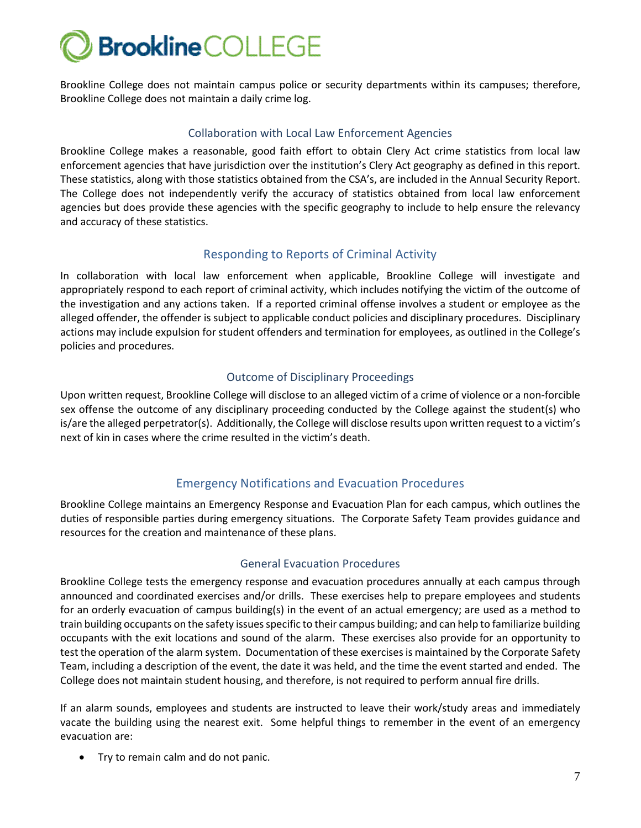# **Brookline**COLLEGE

Brookline College does not maintain campus police or security departments within its campuses; therefore, Brookline College does not maintain a daily crime log.

#### Collaboration with Local Law Enforcement Agencies

Brookline College makes a reasonable, good faith effort to obtain Clery Act crime statistics from local law enforcement agencies that have jurisdiction over the institution's Clery Act geography as defined in this report. These statistics, along with those statistics obtained from the CSA's, are included in the Annual Security Report. The College does not independently verify the accuracy of statistics obtained from local law enforcement agencies but does provide these agencies with the specific geography to include to help ensure the relevancy and accuracy of these statistics.

#### Responding to Reports of Criminal Activity

In collaboration with local law enforcement when applicable, Brookline College will investigate and appropriately respond to each report of criminal activity, which includes notifying the victim of the outcome of the investigation and any actions taken. If a reported criminal offense involves a student or employee as the alleged offender, the offender is subject to applicable conduct policies and disciplinary procedures. Disciplinary actions may include expulsion for student offenders and termination for employees, as outlined in the College's policies and procedures.

#### Outcome of Disciplinary Proceedings

Upon written request, Brookline College will disclose to an alleged victim of a crime of violence or a non-forcible sex offense the outcome of any disciplinary proceeding conducted by the College against the student(s) who is/are the alleged perpetrator(s). Additionally, the College will disclose results upon written request to a victim's next of kin in cases where the crime resulted in the victim's death.

## Emergency Notifications and Evacuation Procedures

Brookline College maintains an Emergency Response and Evacuation Plan for each campus, which outlines the duties of responsible parties during emergency situations. The Corporate Safety Team provides guidance and resources for the creation and maintenance of these plans.

#### General Evacuation Procedures

Brookline College tests the emergency response and evacuation procedures annually at each campus through announced and coordinated exercises and/or drills. These exercises help to prepare employees and students for an orderly evacuation of campus building(s) in the event of an actual emergency; are used as a method to train building occupants on the safety issues specific to their campus building; and can help to familiarize building occupants with the exit locations and sound of the alarm. These exercises also provide for an opportunity to test the operation of the alarm system. Documentation of these exercises is maintained by the Corporate Safety Team, including a description of the event, the date it was held, and the time the event started and ended. The College does not maintain student housing, and therefore, is not required to perform annual fire drills.

If an alarm sounds, employees and students are instructed to leave their work/study areas and immediately vacate the building using the nearest exit. Some helpful things to remember in the event of an emergency evacuation are:

• Try to remain calm and do not panic.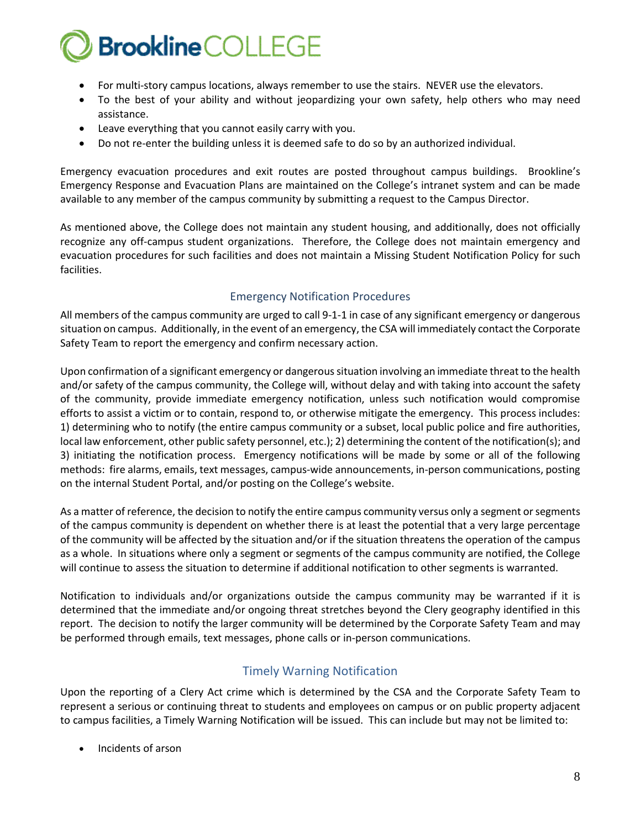

- For multi-story campus locations, always remember to use the stairs. NEVER use the elevators.
- To the best of your ability and without jeopardizing your own safety, help others who may need assistance.
- Leave everything that you cannot easily carry with you.
- Do not re-enter the building unless it is deemed safe to do so by an authorized individual.

Emergency evacuation procedures and exit routes are posted throughout campus buildings. Brookline's Emergency Response and Evacuation Plans are maintained on the College's intranet system and can be made available to any member of the campus community by submitting a request to the Campus Director.

As mentioned above, the College does not maintain any student housing, and additionally, does not officially recognize any off-campus student organizations. Therefore, the College does not maintain emergency and evacuation procedures for such facilities and does not maintain a Missing Student Notification Policy for such facilities.

#### Emergency Notification Procedures

All members of the campus community are urged to call 9-1-1 in case of any significant emergency or dangerous situation on campus. Additionally, in the event of an emergency, the CSA will immediately contact the Corporate Safety Team to report the emergency and confirm necessary action.

Upon confirmation of a significant emergency or dangerous situation involving an immediate threat to the health and/or safety of the campus community, the College will, without delay and with taking into account the safety of the community, provide immediate emergency notification, unless such notification would compromise efforts to assist a victim or to contain, respond to, or otherwise mitigate the emergency. This process includes: 1) determining who to notify (the entire campus community or a subset, local public police and fire authorities, local law enforcement, other public safety personnel, etc.); 2) determining the content of the notification(s); and 3) initiating the notification process. Emergency notifications will be made by some or all of the following methods: fire alarms, emails, text messages, campus-wide announcements, in-person communications, posting on the internal Student Portal, and/or posting on the College's website.

As a matter of reference, the decision to notify the entire campus community versus only a segment or segments of the campus community is dependent on whether there is at least the potential that a very large percentage of the community will be affected by the situation and/or if the situation threatens the operation of the campus as a whole. In situations where only a segment or segments of the campus community are notified, the College will continue to assess the situation to determine if additional notification to other segments is warranted.

Notification to individuals and/or organizations outside the campus community may be warranted if it is determined that the immediate and/or ongoing threat stretches beyond the Clery geography identified in this report. The decision to notify the larger community will be determined by the Corporate Safety Team and may be performed through emails, text messages, phone calls or in-person communications.

# Timely Warning Notification

Upon the reporting of a Clery Act crime which is determined by the CSA and the Corporate Safety Team to represent a serious or continuing threat to students and employees on campus or on public property adjacent to campus facilities, a Timely Warning Notification will be issued. This can include but may not be limited to:

• Incidents of arson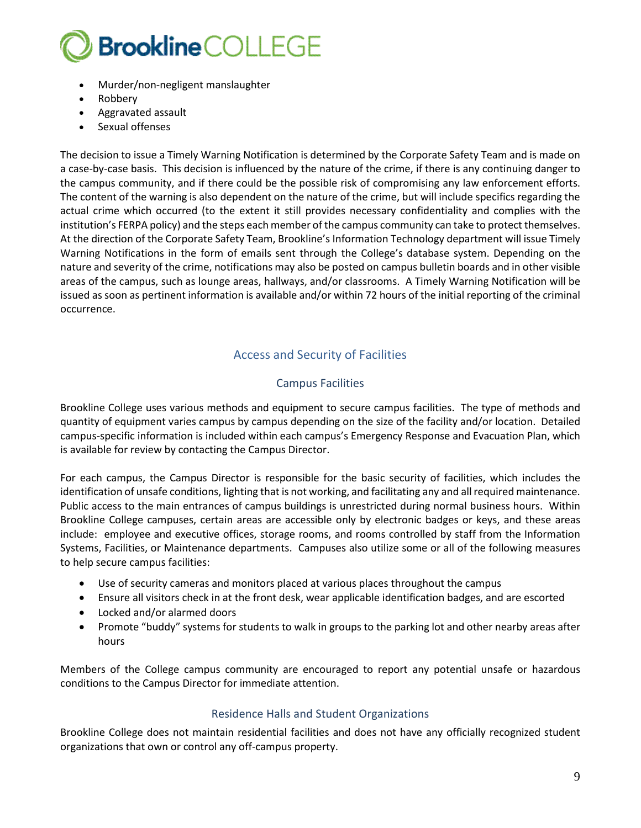

- Murder/non-negligent manslaughter
- Robbery
- Aggravated assault
- Sexual offenses

The decision to issue a Timely Warning Notification is determined by the Corporate Safety Team and is made on a case-by-case basis. This decision is influenced by the nature of the crime, if there is any continuing danger to the campus community, and if there could be the possible risk of compromising any law enforcement efforts. The content of the warning is also dependent on the nature of the crime, but will include specifics regarding the actual crime which occurred (to the extent it still provides necessary confidentiality and complies with the institution's FERPA policy) and the steps each member of the campus community can take to protect themselves. At the direction of the Corporate Safety Team, Brookline's Information Technology department will issue Timely Warning Notifications in the form of emails sent through the College's database system. Depending on the nature and severity of the crime, notifications may also be posted on campus bulletin boards and in other visible areas of the campus, such as lounge areas, hallways, and/or classrooms. A Timely Warning Notification will be issued as soon as pertinent information is available and/or within 72 hours of the initial reporting of the criminal occurrence.

# Access and Security of Facilities

#### Campus Facilities

Brookline College uses various methods and equipment to secure campus facilities. The type of methods and quantity of equipment varies campus by campus depending on the size of the facility and/or location. Detailed campus-specific information is included within each campus's Emergency Response and Evacuation Plan, which is available for review by contacting the Campus Director.

For each campus, the Campus Director is responsible for the basic security of facilities, which includes the identification of unsafe conditions, lighting that is not working, and facilitating any and all required maintenance. Public access to the main entrances of campus buildings is unrestricted during normal business hours. Within Brookline College campuses, certain areas are accessible only by electronic badges or keys, and these areas include: employee and executive offices, storage rooms, and rooms controlled by staff from the Information Systems, Facilities, or Maintenance departments. Campuses also utilize some or all of the following measures to help secure campus facilities:

- Use of security cameras and monitors placed at various places throughout the campus
- Ensure all visitors check in at the front desk, wear applicable identification badges, and are escorted
- Locked and/or alarmed doors
- Promote "buddy" systems for students to walk in groups to the parking lot and other nearby areas after hours

Members of the College campus community are encouraged to report any potential unsafe or hazardous conditions to the Campus Director for immediate attention.

#### Residence Halls and Student Organizations

Brookline College does not maintain residential facilities and does not have any officially recognized student organizations that own or control any off-campus property.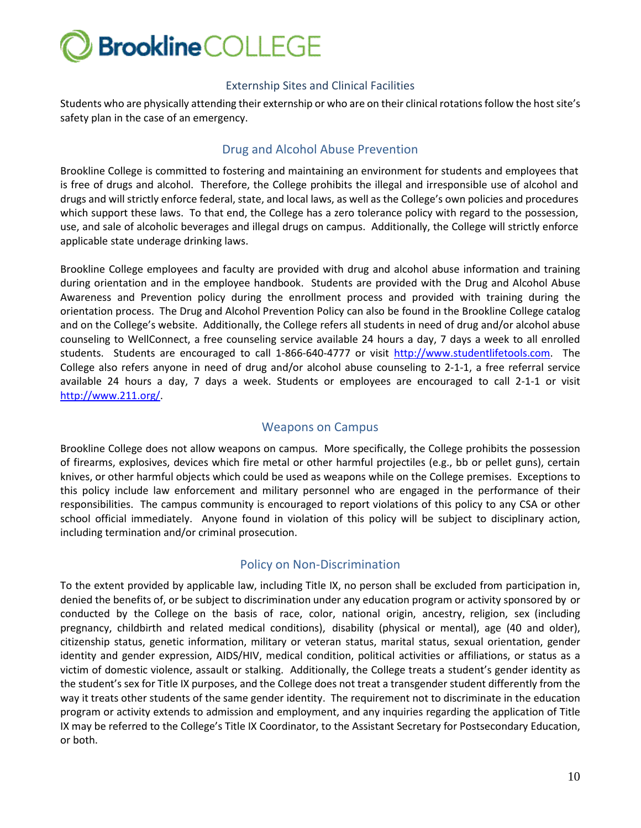

#### Externship Sites and Clinical Facilities

Students who are physically attending their externship or who are on their clinical rotations follow the host site's safety plan in the case of an emergency.

### Drug and Alcohol Abuse Prevention

Brookline College is committed to fostering and maintaining an environment for students and employees that is free of drugs and alcohol. Therefore, the College prohibits the illegal and irresponsible use of alcohol and drugs and will strictly enforce federal, state, and local laws, as well as the College's own policies and procedures which support these laws. To that end, the College has a zero tolerance policy with regard to the possession, use, and sale of alcoholic beverages and illegal drugs on campus. Additionally, the College will strictly enforce applicable state underage drinking laws.

Brookline College employees and faculty are provided with drug and alcohol abuse information and training during orientation and in the employee handbook. Students are provided with the Drug and Alcohol Abuse Awareness and Prevention policy during the enrollment process and provided with training during the orientation process. The Drug and Alcohol Prevention Policy can also be found in the Brookline College catalog and on the College's website. Additionally, the College refers all students in need of drug and/or alcohol abuse counseling to WellConnect, a free counseling service available 24 hours a day, 7 days a week to all enrolled students. Students are encouraged to call 1-866-640-4777 or visit [http://www.studentlifetools.com.](http://www.studentlifetools.com/) The College also refers anyone in need of drug and/or alcohol abuse counseling to 2-1-1, a free referral service available 24 hours a day, 7 days a week. Students or employees are encouraged to call 2-1-1 or visit [http://www.211.org/.](http://www.211.org/)

#### Weapons on Campus

Brookline College does not allow weapons on campus. More specifically, the College prohibits the possession of firearms, explosives, devices which fire metal or other harmful projectiles (e.g., bb or pellet guns), certain knives, or other harmful objects which could be used as weapons while on the College premises. Exceptions to this policy include law enforcement and military personnel who are engaged in the performance of their responsibilities. The campus community is encouraged to report violations of this policy to any CSA or other school official immediately. Anyone found in violation of this policy will be subject to disciplinary action, including termination and/or criminal prosecution.

## Policy on Non-Discrimination

To the extent provided by applicable law, including Title IX, no person shall be excluded from participation in, denied the benefits of, or be subject to discrimination under any education program or activity sponsored by or conducted by the College on the basis of race, color, national origin, ancestry, religion, sex (including pregnancy, childbirth and related medical conditions), disability (physical or mental), age (40 and older), citizenship status, genetic information, military or veteran status, marital status, sexual orientation, gender identity and gender expression, AIDS/HIV, medical condition, political activities or affiliations, or status as a victim of domestic violence, assault or stalking. Additionally, the College treats a student's gender identity as the student's sex for Title IX purposes, and the College does not treat a transgender student differently from the way it treats other students of the same gender identity. The requirement not to discriminate in the education program or activity extends to admission and employment, and any inquiries regarding the application of Title IX may be referred to the College's Title IX Coordinator, to the Assistant Secretary for Postsecondary Education, or both.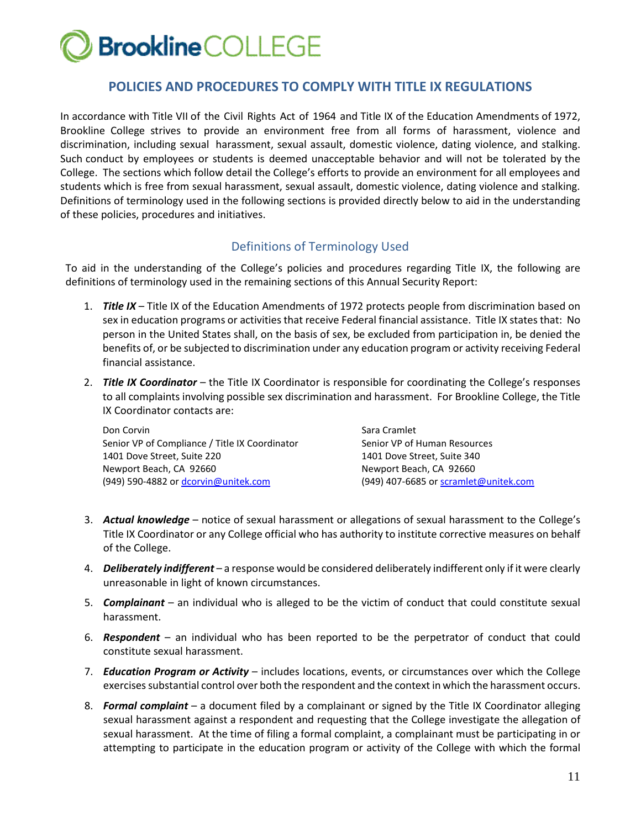

# **POLICIES AND PROCEDURES TO COMPLY WITH TITLE IX REGULATIONS**

In accordance with Title VII of the Civil Rights Act of 1964 and Title IX of the Education Amendments of 1972, Brookline College strives to provide an environment free from all forms of harassment, violence and discrimination, including sexual harassment, sexual assault, domestic violence, dating violence, and stalking. Such conduct by employees or students is deemed unacceptable behavior and will not be tolerated by the College. The sections which follow detail the College's efforts to provide an environment for all employees and students which is free from sexual harassment, sexual assault, domestic violence, dating violence and stalking. Definitions of terminology used in the following sections is provided directly below to aid in the understanding of these policies, procedures and initiatives.

# Definitions of Terminology Used

To aid in the understanding of the College's policies and procedures regarding Title IX, the following are definitions of terminology used in the remaining sections of this Annual Security Report:

- 1. *Title IX* Title IX of the Education Amendments of 1972 protects people from discrimination based on sex in education programs or activities that receive Federal financial assistance. Title IX states that: No person in the United States shall, on the basis of sex, be excluded from participation in, be denied the benefits of, or be subjected to discrimination under any education program or activity receiving Federal financial assistance.
- 2. *Title IX Coordinator*  the Title IX Coordinator is responsible for coordinating the College's responses to all complaints involving possible sex discrimination and harassment. For Brookline College, the Title IX Coordinator contacts are:

| Don Corvin                                     |  |
|------------------------------------------------|--|
| Senior VP of Compliance / Title IX Coordinator |  |
| 1401 Dove Street, Suite 220                    |  |
| Newport Beach, CA 92660                        |  |
| (949) 590-4882 or dcorvin@unitek.com           |  |

Sara Cramlet Senior VP of Human Resources 1401 Dove Street, Suite 340 Newport Beach, CA 92660 (949) 407-6685 or [scramlet@unitek.com](mailto:scramlet@unitek.com)

- 3. *Actual knowledge* notice of sexual harassment or allegations of sexual harassment to the College's Title IX Coordinator or any College official who has authority to institute corrective measures on behalf of the College.
- 4. *Deliberately indifferent* a response would be considered deliberately indifferent only if it were clearly unreasonable in light of known circumstances.
- 5. *Complainant* an individual who is alleged to be the victim of conduct that could constitute sexual harassment.
- 6. *Respondent* an individual who has been reported to be the perpetrator of conduct that could constitute sexual harassment.
- 7. *Education Program or Activity*  includes locations, events, or circumstances over which the College exercises substantial control over both the respondent and the context in which the harassment occurs.
- 8. *Formal complaint* a document filed by a complainant or signed by the Title IX Coordinator alleging sexual harassment against a respondent and requesting that the College investigate the allegation of sexual harassment. At the time of filing a formal complaint, a complainant must be participating in or attempting to participate in the education program or activity of the College with which the formal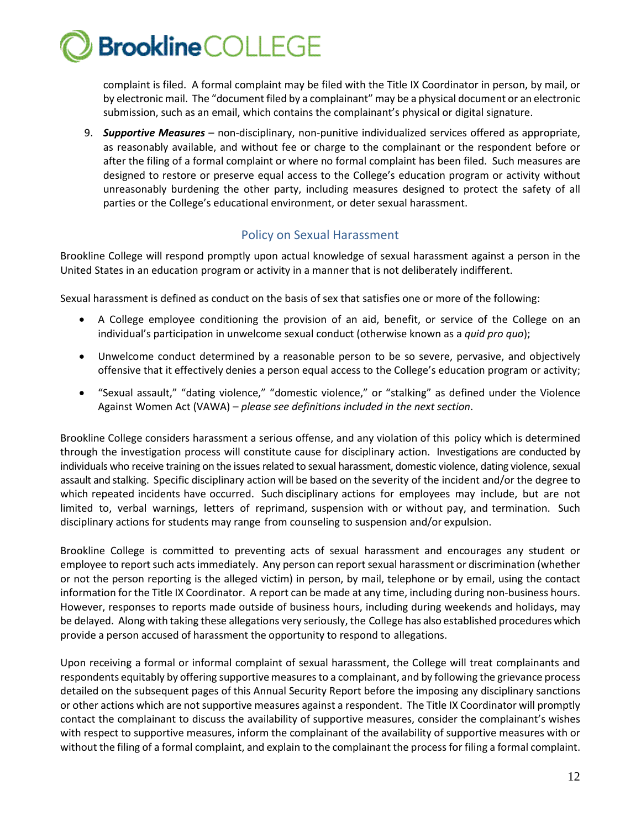

complaint is filed. A formal complaint may be filed with the Title IX Coordinator in person, by mail, or by electronic mail. The "document filed by a complainant" may be a physical document or an electronic submission, such as an email, which contains the complainant's physical or digital signature.

9. *Supportive Measures* – non-disciplinary, non-punitive individualized services offered as appropriate, as reasonably available, and without fee or charge to the complainant or the respondent before or after the filing of a formal complaint or where no formal complaint has been filed. Such measures are designed to restore or preserve equal access to the College's education program or activity without unreasonably burdening the other party, including measures designed to protect the safety of all parties or the College's educational environment, or deter sexual harassment.

## Policy on Sexual Harassment

Brookline College will respond promptly upon actual knowledge of sexual harassment against a person in the United States in an education program or activity in a manner that is not deliberately indifferent.

Sexual harassment is defined as conduct on the basis of sex that satisfies one or more of the following:

- A College employee conditioning the provision of an aid, benefit, or service of the College on an individual's participation in unwelcome sexual conduct (otherwise known as a *quid pro quo*);
- Unwelcome conduct determined by a reasonable person to be so severe, pervasive, and objectively offensive that it effectively denies a person equal access to the College's education program or activity;
- "Sexual assault," "dating violence," "domestic violence," or "stalking" as defined under the Violence Against Women Act (VAWA) – *please see definitions included in the next section*.

Brookline College considers harassment a serious offense, and any violation of this policy which is determined through the investigation process will constitute cause for disciplinary action. Investigations are conducted by individuals who receive training on the issues related to sexual harassment, domestic violence, dating violence, sexual assault and stalking. Specific disciplinary action will be based on the severity of the incident and/or the degree to which repeated incidents have occurred. Such disciplinary actions for employees may include, but are not limited to, verbal warnings, letters of reprimand, suspension with or without pay, and termination. Such disciplinary actions for students may range from counseling to suspension and/or expulsion.

Brookline College is committed to preventing acts of sexual harassment and encourages any student or employee to report such acts immediately. Any person can report sexual harassment or discrimination (whether or not the person reporting is the alleged victim) in person, by mail, telephone or by email, using the contact information for the Title IX Coordinator. A report can be made at any time, including during non-business hours. However, responses to reports made outside of business hours, including during weekends and holidays, may be delayed. Along with taking these allegations very seriously, the College has also established procedures which provide a person accused of harassment the opportunity to respond to allegations.

Upon receiving a formal or informal complaint of sexual harassment, the College will treat complainants and respondents equitably by offering supportive measures to a complainant, and by following the grievance process detailed on the subsequent pages of this Annual Security Report before the imposing any disciplinary sanctions or other actions which are not supportive measures against a respondent. The Title IX Coordinator will promptly contact the complainant to discuss the availability of supportive measures, consider the complainant's wishes with respect to supportive measures, inform the complainant of the availability of supportive measures with or without the filing of a formal complaint, and explain to the complainant the process for filing a formal complaint.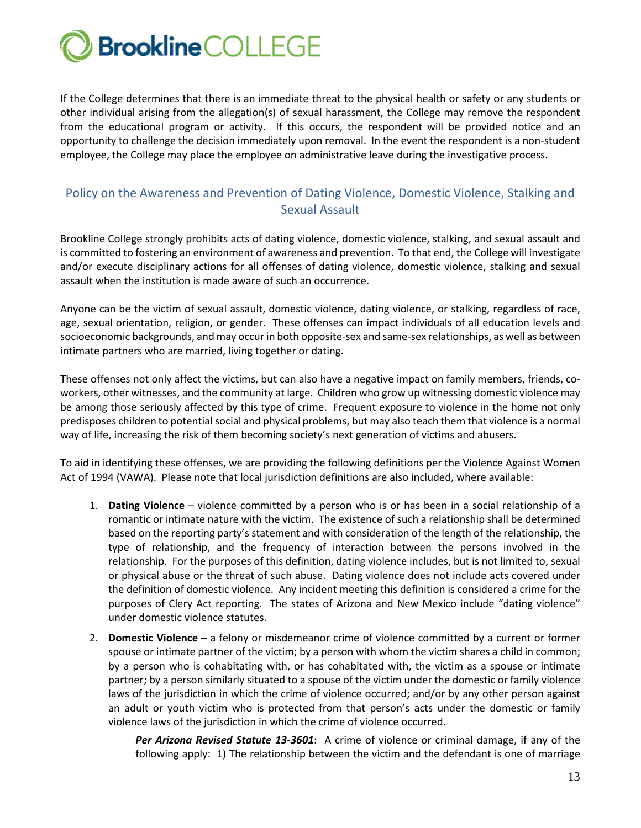**Brookline** COLLEGE

If the College determines that there is an immediate threat to the physical health or safety or any students or other individual arising from the allegation(s) of sexual harassment, the College may remove the respondent from the educational program or activity. If this occurs, the respondent will be provided notice and an opportunity to challenge the decision immediately upon removal. In the event the respondent is a non-student employee, the College may place the employee on administrative leave during the investigative process.

# Policy on the Awareness and Prevention of Dating Violence, Domestic Violence, Stalking and Sexual Assault

Brookline College strongly prohibits acts of dating violence, domestic violence, stalking, and sexual assault and is committed to fostering an environment of awareness and prevention. To that end, the College will investigate and/or execute disciplinary actions for all offenses of dating violence, domestic violence, stalking and sexual assault when the institution is made aware of such an occurrence.

Anyone can be the victim of sexual assault, domestic violence, dating violence, or stalking, regardless of race, age, sexual orientation, religion, or gender. These offenses can impact individuals of all education levels and socioeconomic backgrounds, and may occur in both opposite-sex and same-sex relationships, as well as between intimate partners who are married, living together or dating.

These offenses not only affect the victims, but can also have a negative impact on family members, friends, coworkers, other witnesses, and the community at large. Children who grow up witnessing domestic violence may be among those seriously affected by this type of crime. Frequent exposure to violence in the home not only predisposes children to potential social and physical problems, but may also teach them that violence is a normal way of life, increasing the risk of them becoming society's next generation of victims and abusers.

To aid in identifying these offenses, we are providing the following definitions per the Violence Against Women Act of 1994 (VAWA). Please note that local jurisdiction definitions are also included, where available:

- 1. **Dating Violence** violence committed by a person who is or has been in a social relationship of a romantic or intimate nature with the victim. The existence of such a relationship shall be determined based on the reporting party's statement and with consideration of the length of the relationship, the type of relationship, and the frequency of interaction between the persons involved in the relationship. For the purposes of this definition, dating violence includes, but is not limited to, sexual or physical abuse or the threat of such abuse. Dating violence does not include acts covered under the definition of domestic violence. Any incident meeting this definition is considered a crime for the purposes of Clery Act reporting. The states of Arizona and New Mexico include "dating violence" under domestic violence statutes.
- 2. **Domestic Violence** a felony or misdemeanor crime of violence committed by a current or former spouse or intimate partner of the victim; by a person with whom the victim shares a child in common; by a person who is cohabitating with, or has cohabitated with, the victim as a spouse or intimate partner; by a person similarly situated to a spouse of the victim under the domestic or family violence laws of the jurisdiction in which the crime of violence occurred; and/or by any other person against an adult or youth victim who is protected from that person's acts under the domestic or family violence laws of the jurisdiction in which the crime of violence occurred.

*Per Arizona Revised Statute 13-3601*: A crime of violence or criminal damage, if any of the following apply: 1) The relationship between the victim and the defendant is one of marriage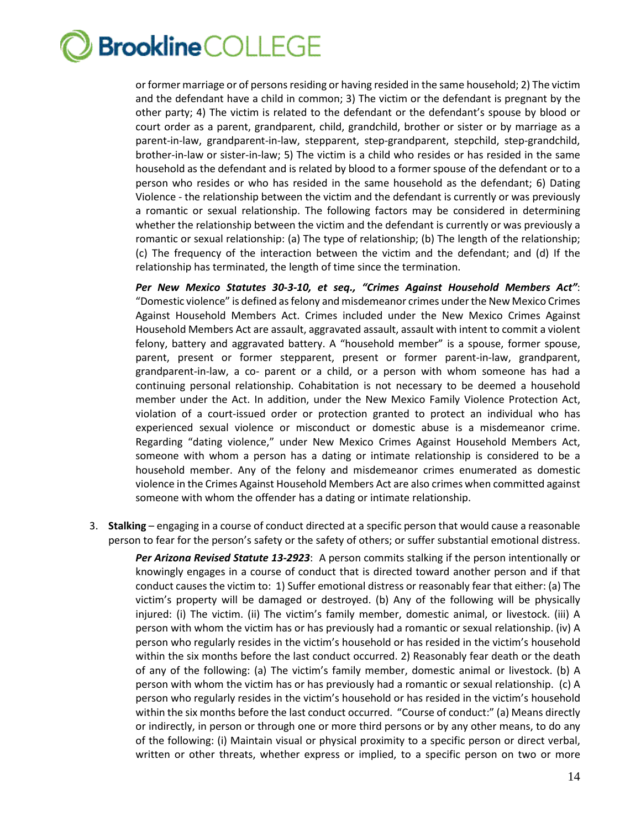

or former marriage or of persons residing or having resided in the same household; 2) The victim and the defendant have a child in common; 3) The victim or the defendant is pregnant by the other party; 4) The victim is related to the defendant or the defendant's spouse by blood or court order as a parent, grandparent, child, grandchild, brother or sister or by marriage as a parent-in-law, grandparent-in-law, stepparent, step-grandparent, stepchild, step-grandchild, brother-in-law or sister-in-law; 5) The victim is a child who resides or has resided in the same household as the defendant and is related by blood to a former spouse of the defendant or to a person who resides or who has resided in the same household as the defendant; 6) Dating Violence - the relationship between the victim and the defendant is currently or was previously a romantic or sexual relationship. The following factors may be considered in determining whether the relationship between the victim and the defendant is currently or was previously a romantic or sexual relationship: (a) The type of relationship; (b) The length of the relationship; (c) The frequency of the interaction between the victim and the defendant; and (d) If the relationship has terminated, the length of time since the termination.

*Per New Mexico Statutes 30-3-10, et seq., "Crimes Against Household Members Act"*: "Domestic violence" is defined as felony and misdemeanor crimes under the New Mexico Crimes Against Household Members Act. Crimes included under the New Mexico Crimes Against Household Members Act are assault, aggravated assault, assault with intent to commit a violent felony, battery and aggravated battery. A "household member" is a spouse, former spouse, parent, present or former stepparent, present or former parent-in-law, grandparent, grandparent-in-law, a co- parent or a child, or a person with whom someone has had a continuing personal relationship. Cohabitation is not necessary to be deemed a household member under the Act. In addition, under the New Mexico Family Violence Protection Act, violation of a court-issued order or protection granted to protect an individual who has experienced sexual violence or misconduct or domestic abuse is a misdemeanor crime. Regarding "dating violence," under New Mexico Crimes Against Household Members Act, someone with whom a person has a dating or intimate relationship is considered to be a household member. Any of the felony and misdemeanor crimes enumerated as domestic violence in the Crimes Against Household Members Act are also crimes when committed against someone with whom the offender has a dating or intimate relationship.

3. **Stalking** – engaging in a course of conduct directed at a specific person that would cause a reasonable person to fear for the person's safety or the safety of others; or suffer substantial emotional distress.

*Per Arizona Revised Statute 13-2923*: A person commits stalking if the person intentionally or knowingly engages in a course of conduct that is directed toward another person and if that conduct causes the victim to: 1) Suffer emotional distress or reasonably fear that either: (a) The victim's property will be damaged or destroyed. (b) Any of the following will be physically injured: (i) The victim. (ii) The victim's family member, domestic animal, or livestock. (iii) A person with whom the victim has or has previously had a romantic or sexual relationship. (iv) A person who regularly resides in the victim's household or has resided in the victim's household within the six months before the last conduct occurred. 2) Reasonably fear death or the death of any of the following: (a) The victim's family member, domestic animal or livestock. (b) A person with whom the victim has or has previously had a romantic or sexual relationship. (c) A person who regularly resides in the victim's household or has resided in the victim's household within the six months before the last conduct occurred. "Course of conduct:" (a) Means directly or indirectly, in person or through one or more third persons or by any other means, to do any of the following: (i) Maintain visual or physical proximity to a specific person or direct verbal, written or other threats, whether express or implied, to a specific person on two or more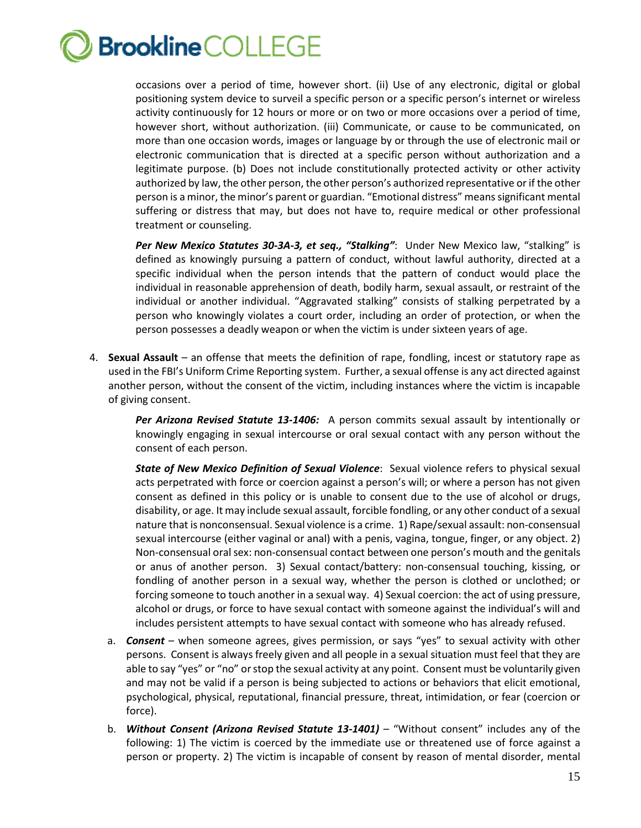

occasions over a period of time, however short. (ii) Use of any electronic, digital or global positioning system device to surveil a specific person or a specific person's internet or wireless activity continuously for 12 hours or more or on two or more occasions over a period of time, however short, without authorization. (iii) Communicate, or cause to be communicated, on more than one occasion words, images or language by or through the use of electronic mail or electronic communication that is directed at a specific person without authorization and a legitimate purpose. (b) Does not include constitutionally protected activity or other activity authorized by law, the other person, the other person's authorized representative or if the other person is a minor, the minor's parent or guardian. "Emotional distress" means significant mental suffering or distress that may, but does not have to, require medical or other professional treatment or counseling.

*Per New Mexico Statutes 30-3A-3, et seq., "Stalking"*: Under New Mexico law, "stalking" is defined as knowingly pursuing a pattern of conduct, without lawful authority, directed at a specific individual when the person intends that the pattern of conduct would place the individual in reasonable apprehension of death, bodily harm, sexual assault, or restraint of the individual or another individual. "Aggravated stalking" consists of stalking perpetrated by a person who knowingly violates a court order, including an order of protection, or when the person possesses a deadly weapon or when the victim is under sixteen years of age.

4. **Sexual Assault** – an offense that meets the definition of rape, fondling, incest or statutory rape as used in the FBI's Uniform Crime Reporting system. Further, a sexual offense is any act directed against another person, without the consent of the victim, including instances where the victim is incapable of giving consent.

*Per Arizona Revised Statute 13-1406:* A person commits sexual assault by intentionally or knowingly engaging in sexual intercourse or oral sexual contact with any person without the consent of each person.

*State of New Mexico Definition of Sexual Violence*: Sexual violence refers to physical sexual acts perpetrated with force or coercion against a person's will; or where a person has not given consent as defined in this policy or is unable to consent due to the use of alcohol or drugs, disability, or age. It may include sexual assault, forcible fondling, or any other conduct of a sexual nature that is nonconsensual. Sexual violence is a crime. 1) Rape/sexual assault: non-consensual sexual intercourse (either vaginal or anal) with a penis, vagina, tongue, finger, or any object. 2) Non-consensual oral sex: non-consensual contact between one person's mouth and the genitals or anus of another person. 3) Sexual contact/battery: non-consensual touching, kissing, or fondling of another person in a sexual way, whether the person is clothed or unclothed; or forcing someone to touch another in a sexual way. 4) Sexual coercion: the act of using pressure, alcohol or drugs, or force to have sexual contact with someone against the individual's will and includes persistent attempts to have sexual contact with someone who has already refused.

- a. *Consent* when someone agrees, gives permission, or says "yes" to sexual activity with other persons. Consent is always freely given and all people in a sexual situation must feel that they are able to say "yes" or "no" or stop the sexual activity at any point. Consent must be voluntarily given and may not be valid if a person is being subjected to actions or behaviors that elicit emotional, psychological, physical, reputational, financial pressure, threat, intimidation, or fear (coercion or force).
- b. *Without Consent (Arizona Revised Statute 13-1401)* "Without consent" includes any of the following: 1) The victim is coerced by the immediate use or threatened use of force against a person or property. 2) The victim is incapable of consent by reason of mental disorder, mental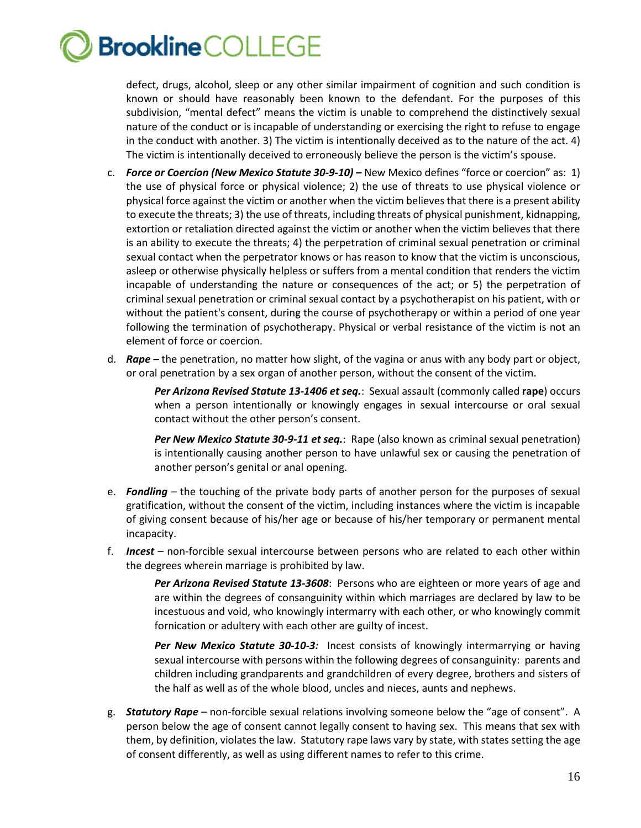# **Brookline** COLLEGE

defect, drugs, alcohol, sleep or any other similar impairment of cognition and such condition is known or should have reasonably been known to the defendant. For the purposes of this subdivision, "mental defect" means the victim is unable to comprehend the distinctively sexual nature of the conduct or is incapable of understanding or exercising the right to refuse to engage in the conduct with another. 3) The victim is intentionally deceived as to the nature of the act. 4) The victim is intentionally deceived to erroneously believe the person is the victim's spouse.

- c. *Force or Coercion (New Mexico Statute 30-9-10) –* New Mexico defines "force or coercion" as: 1) the use of physical force or physical violence; 2) the use of threats to use physical violence or physical force against the victim or another when the victim believes that there is a present ability to execute the threats; 3) the use of threats, including threats of physical punishment, kidnapping, extortion or retaliation directed against the victim or another when the victim believes that there is an ability to execute the threats; 4) the perpetration of criminal sexual penetration or criminal sexual contact when the perpetrator knows or has reason to know that the victim is unconscious, asleep or otherwise physically helpless or suffers from a mental condition that renders the victim incapable of understanding the nature or consequences of the act; or 5) the perpetration of criminal sexual penetration or criminal sexual contact by a psychotherapist on his patient, with or without the patient's consent, during the course of psychotherapy or within a period of one year following the termination of psychotherapy. Physical or verbal resistance of the victim is not an element of force or coercion.
- d. *Rape –* the penetration, no matter how slight, of the vagina or anus with any body part or object, or oral penetration by a sex organ of another person, without the consent of the victim.

*Per Arizona Revised Statute 13-1406 et seq.*: Sexual assault (commonly called **rape**) occurs when a person intentionally or knowingly engages in sexual intercourse or oral sexual contact without the other person's consent.

*Per New Mexico Statute 30-9-11 et seq.*: Rape (also known as criminal sexual penetration) is intentionally causing another person to have unlawful sex or causing the penetration of another person's genital or anal opening.

- e. *Fondling* the touching of the private body parts of another person for the purposes of sexual gratification, without the consent of the victim, including instances where the victim is incapable of giving consent because of his/her age or because of his/her temporary or permanent mental incapacity.
- f. *Incest* non-forcible sexual intercourse between persons who are related to each other within the degrees wherein marriage is prohibited by law.

*Per Arizona Revised Statute 13-3608*: Persons who are eighteen or more years of age and are within the degrees of consanguinity within which marriages are declared by law to be incestuous and void, who knowingly intermarry with each other, or who knowingly commit fornication or adultery with each other are guilty of incest.

*Per New Mexico Statute 30-10-3:* Incest consists of knowingly intermarrying or having sexual intercourse with persons within the following degrees of consanguinity: parents and children including grandparents and grandchildren of every degree, brothers and sisters of the half as well as of the whole blood, uncles and nieces, aunts and nephews.

g. *Statutory Rape* – non-forcible sexual relations involving someone below the "age of consent". A person below the age of consent cannot legally consent to having sex. This means that sex with them, by definition, violates the law. Statutory rape laws vary by state, with states setting the age of consent differently, as well as using different names to refer to this crime.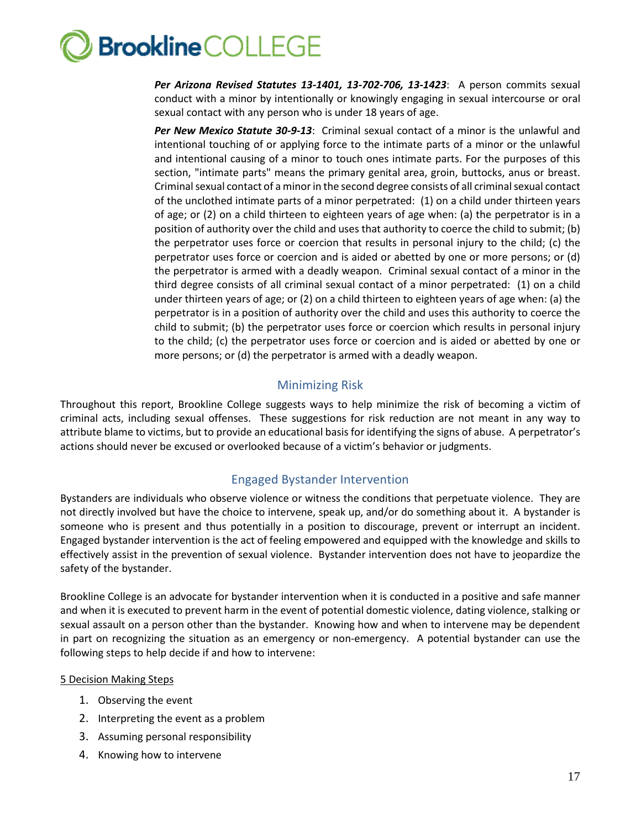# **Brookline** COLLEGE

*Per Arizona Revised Statutes 13-1401, 13-702-706, 13-1423*: A person commits sexual conduct with a minor by intentionally or knowingly engaging in sexual intercourse or oral sexual contact with any person who is under 18 years of age.

*Per New Mexico Statute 30-9-13*: Criminal sexual contact of a minor is the unlawful and intentional touching of or applying force to the intimate parts of a minor or the unlawful and intentional causing of a minor to touch ones intimate parts. For the purposes of this section, "intimate parts" means the primary genital area, groin, buttocks, anus or breast. Criminal sexual contact of a minor in the second degree consists of all criminal sexual contact of the unclothed intimate parts of a minor perpetrated: (1) on a child under thirteen years of age; or (2) on a child thirteen to eighteen years of age when: (a) the perpetrator is in a position of authority over the child and uses that authority to coerce the child to submit; (b) the perpetrator uses force or coercion that results in personal injury to the child; (c) the perpetrator uses force or coercion and is aided or abetted by one or more persons; or (d) the perpetrator is armed with a deadly weapon. Criminal sexual contact of a minor in the third degree consists of all criminal sexual contact of a minor perpetrated: (1) on a child under thirteen years of age; or (2) on a child thirteen to eighteen years of age when: (a) the perpetrator is in a position of authority over the child and uses this authority to coerce the child to submit; (b) the perpetrator uses force or coercion which results in personal injury to the child; (c) the perpetrator uses force or coercion and is aided or abetted by one or more persons; or (d) the perpetrator is armed with a deadly weapon.

# Minimizing Risk

Throughout this report, Brookline College suggests ways to help minimize the risk of becoming a victim of criminal acts, including sexual offenses. These suggestions for risk reduction are not meant in any way to attribute blame to victims, but to provide an educational basis for identifying the signs of abuse. A perpetrator's actions should never be excused or overlooked because of a victim's behavior or judgments.

# Engaged Bystander Intervention

Bystanders are individuals who observe violence or witness the conditions that perpetuate violence. They are not directly involved but have the choice to intervene, speak up, and/or do something about it. A bystander is someone who is present and thus potentially in a position to discourage, prevent or interrupt an incident. Engaged bystander intervention is the act of feeling empowered and equipped with the knowledge and skills to effectively assist in the prevention of sexual violence. Bystander intervention does not have to jeopardize the safety of the bystander.

Brookline College is an advocate for bystander intervention when it is conducted in a positive and safe manner and when it is executed to prevent harm in the event of potential domestic violence, dating violence, stalking or sexual assault on a person other than the bystander. Knowing how and when to intervene may be dependent in part on recognizing the situation as an emergency or non-emergency. A potential bystander can use the following steps to help decide if and how to intervene:

#### 5 Decision Making Steps

- 1. Observing the event
- 2. Interpreting the event as a problem
- 3. Assuming personal responsibility
- 4. Knowing how to intervene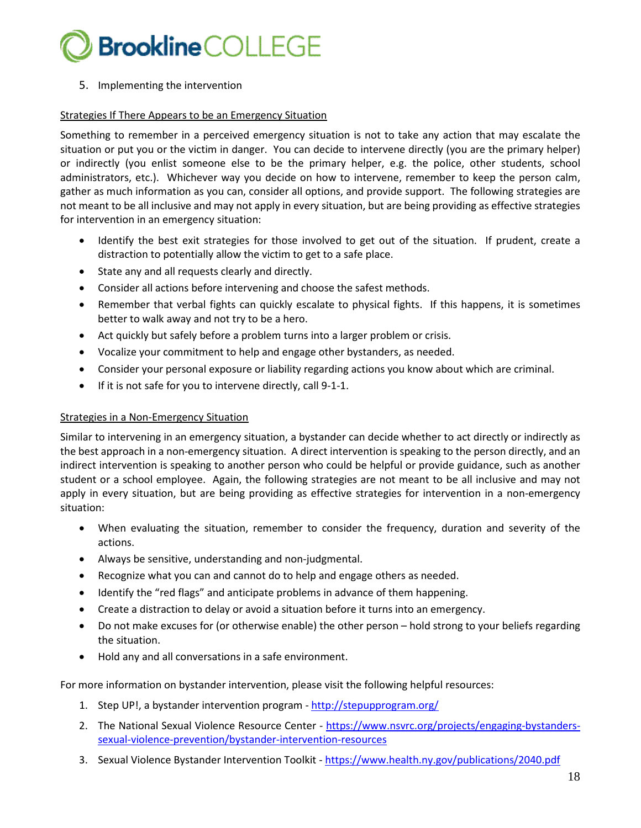

5. Implementing the intervention

#### Strategies If There Appears to be an Emergency Situation

Something to remember in a perceived emergency situation is not to take any action that may escalate the situation or put you or the victim in danger. You can decide to intervene directly (you are the primary helper) or indirectly (you enlist someone else to be the primary helper, e.g. the police, other students, school administrators, etc.). Whichever way you decide on how to intervene, remember to keep the person calm, gather as much information as you can, consider all options, and provide support. The following strategies are not meant to be all inclusive and may not apply in every situation, but are being providing as effective strategies for intervention in an emergency situation:

- Identify the best exit strategies for those involved to get out of the situation. If prudent, create a distraction to potentially allow the victim to get to a safe place.
- State any and all requests clearly and directly.
- Consider all actions before intervening and choose the safest methods.
- Remember that verbal fights can quickly escalate to physical fights. If this happens, it is sometimes better to walk away and not try to be a hero.
- Act quickly but safely before a problem turns into a larger problem or crisis.
- Vocalize your commitment to help and engage other bystanders, as needed.
- Consider your personal exposure or liability regarding actions you know about which are criminal.
- If it is not safe for you to intervene directly, call 9-1-1.

#### Strategies in a Non-Emergency Situation

Similar to intervening in an emergency situation, a bystander can decide whether to act directly or indirectly as the best approach in a non-emergency situation. A direct intervention is speaking to the person directly, and an indirect intervention is speaking to another person who could be helpful or provide guidance, such as another student or a school employee. Again, the following strategies are not meant to be all inclusive and may not apply in every situation, but are being providing as effective strategies for intervention in a non-emergency situation:

- When evaluating the situation, remember to consider the frequency, duration and severity of the actions.
- Always be sensitive, understanding and non-judgmental.
- Recognize what you can and cannot do to help and engage others as needed.
- Identify the "red flags" and anticipate problems in advance of them happening.
- Create a distraction to delay or avoid a situation before it turns into an emergency.
- Do not make excuses for (or otherwise enable) the other person hold strong to your beliefs regarding the situation.
- Hold any and all conversations in a safe environment.

For more information on bystander intervention, please visit the following helpful resources:

- 1. Step UP!, a bystander intervention program <http://stepupprogram.org/>
- 2. The National Sexual Violence Resource Center [https://www.nsvrc.org/projects/engaging-bystanders](https://www.nsvrc.org/projects/engaging-bystanders-sexual-violence-prevention/bystander-intervention-resources)[sexual-violence-prevention/bystander-intervention-resources](https://www.nsvrc.org/projects/engaging-bystanders-sexual-violence-prevention/bystander-intervention-resources)
- 3. Sexual Violence Bystander Intervention Toolkit <https://www.health.ny.gov/publications/2040.pdf>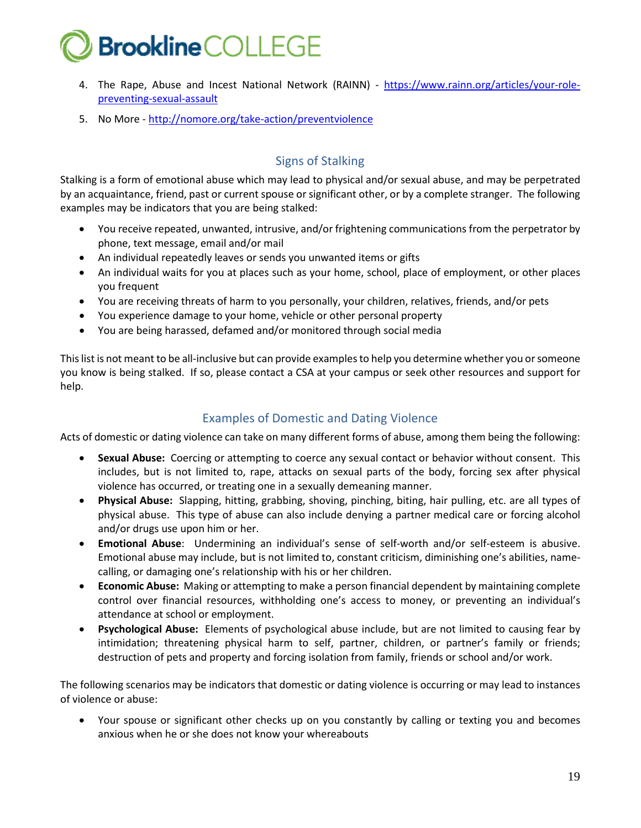# **Brookline**COLLEGE

- 4. The Rape, Abuse and Incest National Network (RAINN) [https://www.rainn.org/articles/your-role](https://www.rainn.org/articles/your-role-preventing-sexual-assault)[preventing-sexual-assault](https://www.rainn.org/articles/your-role-preventing-sexual-assault)
- 5. No More <http://nomore.org/take-action/preventviolence>

# Signs of Stalking

Stalking is a form of emotional abuse which may lead to physical and/or sexual abuse, and may be perpetrated by an acquaintance, friend, past or current spouse or significant other, or by a complete stranger. The following examples may be indicators that you are being stalked:

- You receive repeated, unwanted, intrusive, and/or frightening communications from the perpetrator by phone, text message, email and/or mail
- An individual repeatedly leaves or sends you unwanted items or gifts
- An individual waits for you at places such as your home, school, place of employment, or other places you frequent
- You are receiving threats of harm to you personally, your children, relatives, friends, and/or pets
- You experience damage to your home, vehicle or other personal property
- You are being harassed, defamed and/or monitored through social media

This list is not meant to be all-inclusive but can provide examples to help you determine whether you or someone you know is being stalked. If so, please contact a CSA at your campus or seek other resources and support for help.

## Examples of Domestic and Dating Violence

Acts of domestic or dating violence can take on many different forms of abuse, among them being the following:

- **Sexual Abuse:** Coercing or attempting to coerce any sexual contact or behavior without consent. This includes, but is not limited to, rape, attacks on sexual parts of the body, forcing sex after physical violence has occurred, or treating one in a sexually demeaning manner.
- **Physical Abuse:** Slapping, hitting, grabbing, shoving, pinching, biting, hair pulling, etc. are all types of physical abuse. This type of abuse can also include denying a partner medical care or forcing alcohol and/or drugs use upon him or her.
- **Emotional Abuse**: Undermining an individual's sense of self-worth and/or self-esteem is abusive. Emotional abuse may include, but is not limited to, constant criticism, diminishing one's abilities, namecalling, or damaging one's relationship with his or her children.
- **Economic Abuse:** Making or attempting to make a person financial dependent by maintaining complete control over financial resources, withholding one's access to money, or preventing an individual's attendance at school or employment.
- **Psychological Abuse:** Elements of psychological abuse include, but are not limited to causing fear by intimidation; threatening physical harm to self, partner, children, or partner's family or friends; destruction of pets and property and forcing isolation from family, friends or school and/or work.

The following scenarios may be indicators that domestic or dating violence is occurring or may lead to instances of violence or abuse:

• Your spouse or significant other checks up on you constantly by calling or texting you and becomes anxious when he or she does not know your whereabouts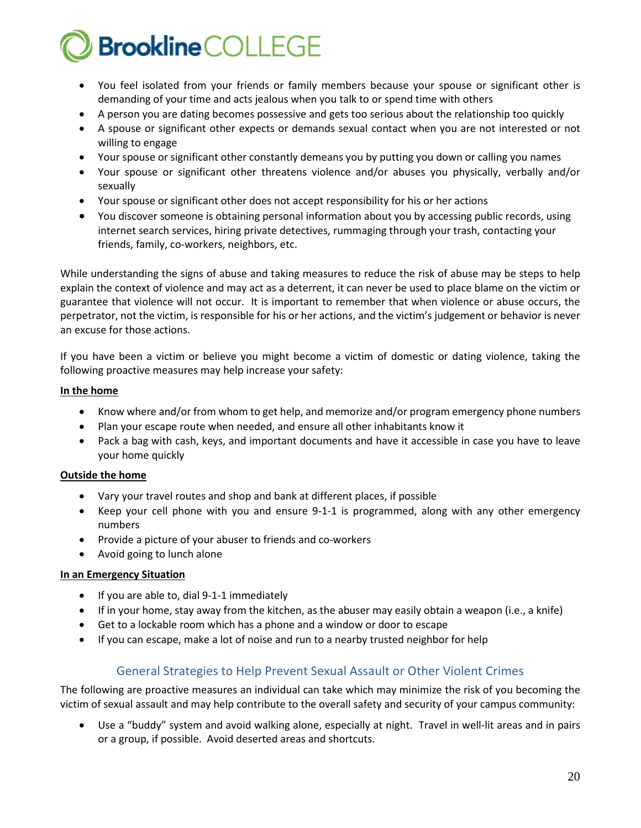**Brookline**COLLEGE

- You feel isolated from your friends or family members because your spouse or significant other is demanding of your time and acts jealous when you talk to or spend time with others
- A person you are dating becomes possessive and gets too serious about the relationship too quickly
- A spouse or significant other expects or demands sexual contact when you are not interested or not willing to engage
- Your spouse or significant other constantly demeans you by putting you down or calling you names
- Your spouse or significant other threatens violence and/or abuses you physically, verbally and/or sexually
- Your spouse or significant other does not accept responsibility for his or her actions
- You discover someone is obtaining personal information about you by accessing public records, using internet search services, hiring private detectives, rummaging through your trash, contacting your friends, family, co-workers, neighbors, etc.

While understanding the signs of abuse and taking measures to reduce the risk of abuse may be steps to help explain the context of violence and may act as a deterrent, it can never be used to place blame on the victim or guarantee that violence will not occur. It is important to remember that when violence or abuse occurs, the perpetrator, not the victim, is responsible for his or her actions, and the victim's judgement or behavior is never an excuse for those actions.

If you have been a victim or believe you might become a victim of domestic or dating violence, taking the following proactive measures may help increase your safety:

#### **In the home**

- Know where and/or from whom to get help, and memorize and/or program emergency phone numbers
- Plan your escape route when needed, and ensure all other inhabitants know it
- Pack a bag with cash, keys, and important documents and have it accessible in case you have to leave your home quickly

#### **Outside the home**

- Vary your travel routes and shop and bank at different places, if possible
- Keep your cell phone with you and ensure 9-1-1 is programmed, along with any other emergency numbers
- Provide a picture of your abuser to friends and co-workers
- Avoid going to lunch alone

#### **In an Emergency Situation**

- If you are able to, dial 9-1-1 immediately
- If in your home, stay away from the kitchen, as the abuser may easily obtain a weapon (i.e., a knife)
- Get to a lockable room which has a phone and a window or door to escape
- If you can escape, make a lot of noise and run to a nearby trusted neighbor for help

## General Strategies to Help Prevent Sexual Assault or Other Violent Crimes

The following are proactive measures an individual can take which may minimize the risk of you becoming the victim of sexual assault and may help contribute to the overall safety and security of your campus community:

• Use a "buddy" system and avoid walking alone, especially at night. Travel in well-lit areas and in pairs or a group, if possible. Avoid deserted areas and shortcuts.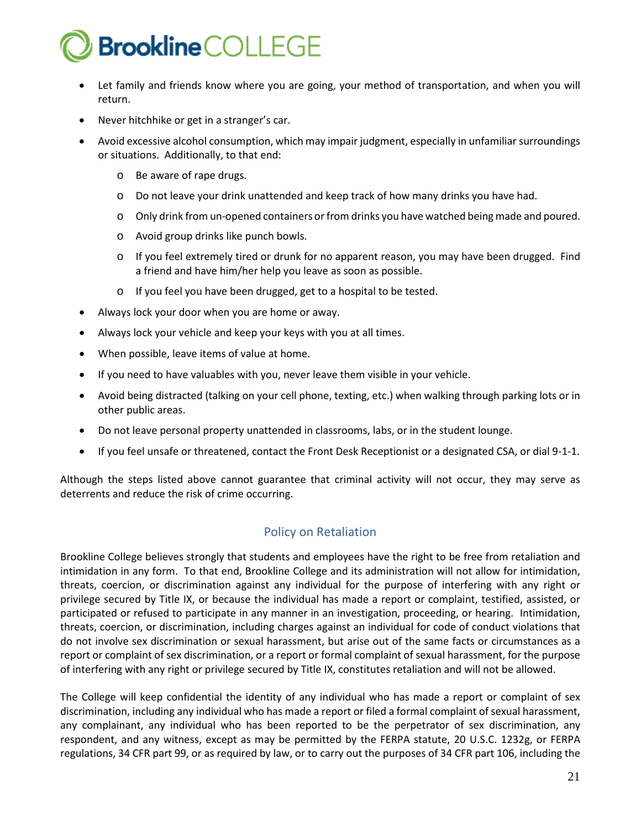

- Let family and friends know where you are going, your method of transportation, and when you will return.
- Never hitchhike or get in a stranger's car.
- Avoid excessive alcohol consumption, which may impair judgment, especially in unfamiliar surroundings or situations. Additionally, to that end:
	- o Be aware of rape drugs.
	- o Do not leave your drink unattended and keep track of how many drinks you have had.
	- o Only drink from un-opened containers or from drinks you have watched being made and poured.
	- o Avoid group drinks like punch bowls.
	- o If you feel extremely tired or drunk for no apparent reason, you may have been drugged. Find a friend and have him/her help you leave as soon as possible.
	- o If you feel you have been drugged, get to a hospital to be tested.
- Always lock your door when you are home or away.
- Always lock your vehicle and keep your keys with you at all times.
- When possible, leave items of value at home.
- If you need to have valuables with you, never leave them visible in your vehicle.
- Avoid being distracted (talking on your cell phone, texting, etc.) when walking through parking lots or in other public areas.
- Do not leave personal property unattended in classrooms, labs, or in the student lounge.
- If you feel unsafe or threatened, contact the Front Desk Receptionist or a designated CSA, or dial 9-1-1.

Although the steps listed above cannot guarantee that criminal activity will not occur, they may serve as deterrents and reduce the risk of crime occurring.

#### Policy on Retaliation

Brookline College believes strongly that students and employees have the right to be free from retaliation and intimidation in any form. To that end, Brookline College and its administration will not allow for intimidation, threats, coercion, or discrimination against any individual for the purpose of interfering with any right or privilege secured by Title IX, or because the individual has made a report or complaint, testified, assisted, or participated or refused to participate in any manner in an investigation, proceeding, or hearing. Intimidation, threats, coercion, or discrimination, including charges against an individual for code of conduct violations that do not involve sex discrimination or sexual harassment, but arise out of the same facts or circumstances as a report or complaint of sex discrimination, or a report or formal complaint of sexual harassment, for the purpose of interfering with any right or privilege secured by Title IX, constitutes retaliation and will not be allowed.

The College will keep confidential the identity of any individual who has made a report or complaint of sex discrimination, including any individual who has made a report or filed a formal complaint of sexual harassment, any complainant, any individual who has been reported to be the perpetrator of sex discrimination, any respondent, and any witness, except as may be permitted by the FERPA statute, 20 U.S.C. 1232g, or FERPA regulations, 34 CFR part 99, or as required by law, or to carry out the purposes of 34 CFR part 106, including the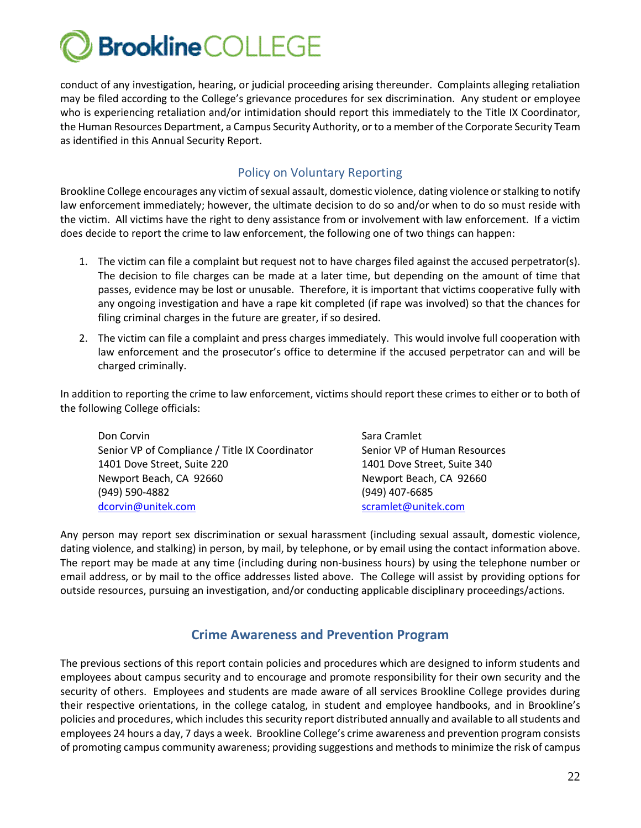

conduct of any investigation, hearing, or judicial proceeding arising thereunder. Complaints alleging retaliation may be filed according to the College's grievance procedures for sex discrimination. Any student or employee who is experiencing retaliation and/or intimidation should report this immediately to the Title IX Coordinator, the Human Resources Department, a Campus Security Authority, or to a member of the Corporate Security Team as identified in this Annual Security Report.

### Policy on Voluntary Reporting

Brookline College encourages any victim of sexual assault, domestic violence, dating violence or stalking to notify law enforcement immediately; however, the ultimate decision to do so and/or when to do so must reside with the victim. All victims have the right to deny assistance from or involvement with law enforcement. If a victim does decide to report the crime to law enforcement, the following one of two things can happen:

- 1. The victim can file a complaint but request not to have charges filed against the accused perpetrator(s). The decision to file charges can be made at a later time, but depending on the amount of time that passes, evidence may be lost or unusable. Therefore, it is important that victims cooperative fully with any ongoing investigation and have a rape kit completed (if rape was involved) so that the chances for filing criminal charges in the future are greater, if so desired.
- 2. The victim can file a complaint and press charges immediately. This would involve full cooperation with law enforcement and the prosecutor's office to determine if the accused perpetrator can and will be charged criminally.

In addition to reporting the crime to law enforcement, victims should report these crimes to either or to both of the following College officials:

Don Corvin **Sara Cramlet** Senior VP of Compliance / Title IX Coordinator Senior VP of Human Resources 1401 Dove Street, Suite 220 1401 Dove Street, Suite 340 Newport Beach, CA 92660 Newport Beach, CA 92660 (949) 590-4882 (949) 407-6685 [dcorvin@unitek.com](mailto:dcorvin@unitek.com) [scramlet@unitek.com](mailto:scramlet@unitek.com) scramlet@unitek.com

Any person may report sex discrimination or sexual harassment (including sexual assault, domestic violence, dating violence, and stalking) in person, by mail, by telephone, or by email using the contact information above. The report may be made at any time (including during non-business hours) by using the telephone number or email address, or by mail to the office addresses listed above. The College will assist by providing options for outside resources, pursuing an investigation, and/or conducting applicable disciplinary proceedings/actions.

## **Crime Awareness and Prevention Program**

The previous sections of this report contain policies and procedures which are designed to inform students and employees about campus security and to encourage and promote responsibility for their own security and the security of others. Employees and students are made aware of all services Brookline College provides during their respective orientations, in the college catalog, in student and employee handbooks, and in Brookline's policies and procedures, which includes thissecurity report distributed annually and available to all students and employees 24 hours a day, 7 days a week. Brookline College's crime awareness and prevention program consists of promoting campus community awareness; providing suggestions and methods to minimize the risk of campus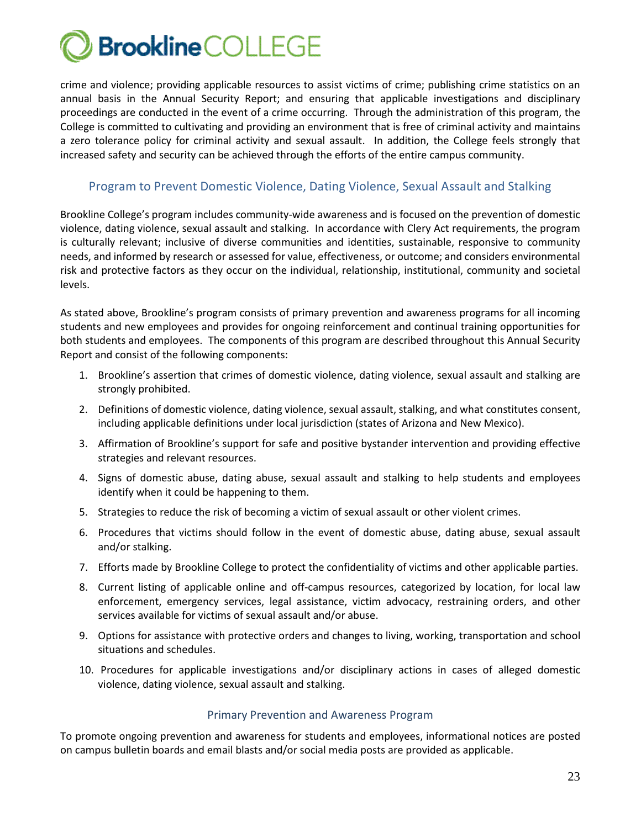

crime and violence; providing applicable resources to assist victims of crime; publishing crime statistics on an annual basis in the Annual Security Report; and ensuring that applicable investigations and disciplinary proceedings are conducted in the event of a crime occurring. Through the administration of this program, the College is committed to cultivating and providing an environment that is free of criminal activity and maintains a zero tolerance policy for criminal activity and sexual assault. In addition, the College feels strongly that increased safety and security can be achieved through the efforts of the entire campus community.

#### Program to Prevent Domestic Violence, Dating Violence, Sexual Assault and Stalking

Brookline College's program includes community-wide awareness and is focused on the prevention of domestic violence, dating violence, sexual assault and stalking. In accordance with Clery Act requirements, the program is culturally relevant; inclusive of diverse communities and identities, sustainable, responsive to community needs, and informed by research or assessed for value, effectiveness, or outcome; and considers environmental risk and protective factors as they occur on the individual, relationship, institutional, community and societal levels.

As stated above, Brookline's program consists of primary prevention and awareness programs for all incoming students and new employees and provides for ongoing reinforcement and continual training opportunities for both students and employees. The components of this program are described throughout this Annual Security Report and consist of the following components:

- 1. Brookline's assertion that crimes of domestic violence, dating violence, sexual assault and stalking are strongly prohibited.
- 2. Definitions of domestic violence, dating violence, sexual assault, stalking, and what constitutes consent, including applicable definitions under local jurisdiction (states of Arizona and New Mexico).
- 3. Affirmation of Brookline's support for safe and positive bystander intervention and providing effective strategies and relevant resources.
- 4. Signs of domestic abuse, dating abuse, sexual assault and stalking to help students and employees identify when it could be happening to them.
- 5. Strategies to reduce the risk of becoming a victim of sexual assault or other violent crimes.
- 6. Procedures that victims should follow in the event of domestic abuse, dating abuse, sexual assault and/or stalking.
- 7. Efforts made by Brookline College to protect the confidentiality of victims and other applicable parties.
- 8. Current listing of applicable online and off-campus resources, categorized by location, for local law enforcement, emergency services, legal assistance, victim advocacy, restraining orders, and other services available for victims of sexual assault and/or abuse.
- 9. Options for assistance with protective orders and changes to living, working, transportation and school situations and schedules.
- 10. Procedures for applicable investigations and/or disciplinary actions in cases of alleged domestic violence, dating violence, sexual assault and stalking.

#### Primary Prevention and Awareness Program

To promote ongoing prevention and awareness for students and employees, informational notices are posted on campus bulletin boards and email blasts and/or social media posts are provided as applicable.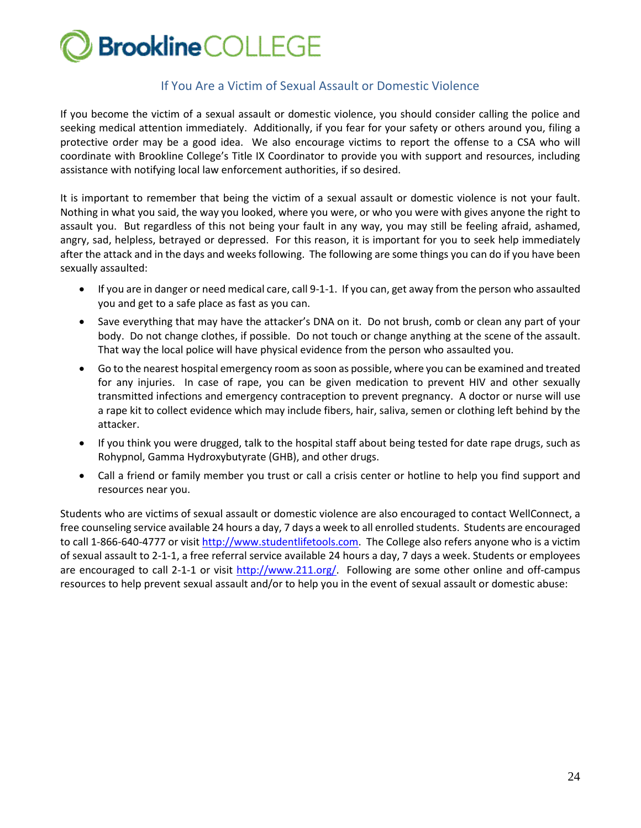# **Brookline** COLLEGE

## If You Are a Victim of Sexual Assault or Domestic Violence

If you become the victim of a sexual assault or domestic violence, you should consider calling the police and seeking medical attention immediately. Additionally, if you fear for your safety or others around you, filing a protective order may be a good idea. We also encourage victims to report the offense to a CSA who will coordinate with Brookline College's Title IX Coordinator to provide you with support and resources, including assistance with notifying local law enforcement authorities, if so desired.

It is important to remember that being the victim of a sexual assault or domestic violence is not your fault. Nothing in what you said, the way you looked, where you were, or who you were with gives anyone the right to assault you. But regardless of this not being your fault in any way, you may still be feeling afraid, ashamed, angry, sad, helpless, betrayed or depressed. For this reason, it is important for you to seek help immediately after the attack and in the days and weeks following. The following are some things you can do if you have been sexually assaulted:

- If you are in danger or need medical care, call 9-1-1. If you can, get away from the person who assaulted you and get to a safe place as fast as you can.
- Save everything that may have the attacker's DNA on it. Do not brush, comb or clean any part of your body. Do not change clothes, if possible. Do not touch or change anything at the scene of the assault. That way the local police will have physical evidence from the person who assaulted you.
- Go to the nearest hospital emergency room as soon as possible, where you can be examined and treated for any injuries. In case of rape, you can be given medication to prevent HIV and other sexually transmitted infections and emergency contraception to prevent pregnancy. A doctor or nurse will use a rape kit to collect evidence which may include fibers, hair, saliva, semen or clothing left behind by the attacker.
- If you think you were drugged, talk to the hospital staff about being tested for date rape drugs, such as Rohypnol, Gamma Hydroxybutyrate (GHB), and other drugs.
- Call a friend or family member you trust or call a crisis center or hotline to help you find support and resources near you.

Students who are victims of sexual assault or domestic violence are also encouraged to contact WellConnect, a free counseling service available 24 hours a day, 7 days a week to all enrolled students. Students are encouraged to call 1-866-640-4777 or visit [http://www.studentlifetools.com.](http://www.studentlifetools.com/) The College also refers anyone who is a victim of sexual assault to 2-1-1, a free referral service available 24 hours a day, 7 days a week. Students or employees are encouraged to call 2-1-1 or visit [http://www.211.org/.](http://www.211.org/) Following are some other online and off-campus resources to help prevent sexual assault and/or to help you in the event of sexual assault or domestic abuse: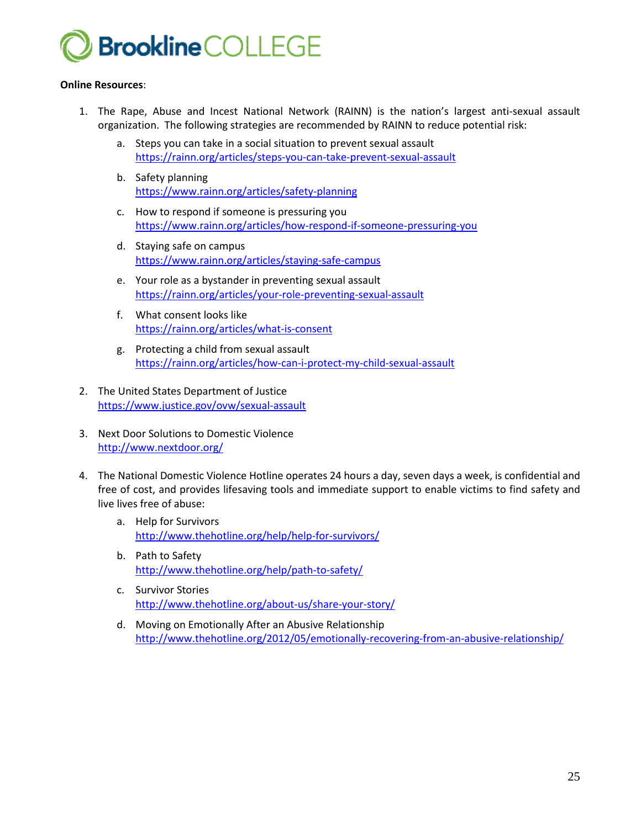![](_page_24_Picture_0.jpeg)

#### **Online Resources**:

- 1. The Rape, Abuse and Incest National Network (RAINN) is the nation's largest anti-sexual assault organization. The following strategies are recommended by RAINN to reduce potential risk:
	- a. Steps you can take in a social situation to prevent sexual assault <https://rainn.org/articles/steps-you-can-take-prevent-sexual-assault>
	- b. Safety planning <https://www.rainn.org/articles/safety-planning>
	- c. How to respond if someone is pressuring you <https://www.rainn.org/articles/how-respond-if-someone-pressuring-you>
	- d. Staying safe on campus <https://www.rainn.org/articles/staying-safe-campus>
	- e. Your role as a bystander in preventing sexual assault <https://rainn.org/articles/your-role-preventing-sexual-assault>
	- f. What consent looks like <https://rainn.org/articles/what-is-consent>
	- g. Protecting a child from sexual assault <https://rainn.org/articles/how-can-i-protect-my-child-sexual-assault>
- 2. The United States Department of Justice <https://www.justice.gov/ovw/sexual-assault>
- 3. Next Door Solutions to Domestic Violence <http://www.nextdoor.org/>
- 4. The National Domestic Violence Hotline operates 24 hours a day, seven days a week, is confidential and free of cost, and provides lifesaving tools and immediate support to enable victims to find safety and live lives free of abuse:
	- a. Help for Survivors <http://www.thehotline.org/help/help-for-survivors/>
	- b. Path to Safety <http://www.thehotline.org/help/path-to-safety/>
	- c. Survivor Stories <http://www.thehotline.org/about-us/share-your-story/>
	- d. Moving on Emotionally After an Abusive Relationship <http://www.thehotline.org/2012/05/emotionally-recovering-from-an-abusive-relationship/>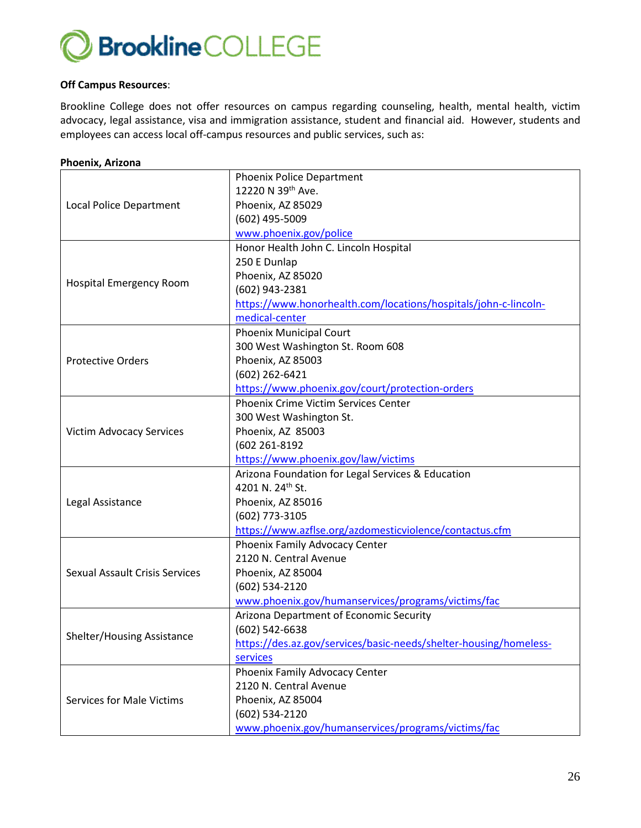![](_page_25_Picture_0.jpeg)

#### **Off Campus Resources**:

Brookline College does not offer resources on campus regarding counseling, health, mental health, victim advocacy, legal assistance, visa and immigration assistance, student and financial aid. However, students and employees can access local off-campus resources and public services, such as:

#### **Phoenix, Arizona**

|                                       | <b>Phoenix Police Department</b>                                  |  |  |  |
|---------------------------------------|-------------------------------------------------------------------|--|--|--|
|                                       | 12220 N 39th Ave.                                                 |  |  |  |
| Local Police Department               | Phoenix, AZ 85029                                                 |  |  |  |
|                                       | (602) 495-5009                                                    |  |  |  |
|                                       | www.phoenix.gov/police                                            |  |  |  |
|                                       | Honor Health John C. Lincoln Hospital                             |  |  |  |
|                                       | 250 E Dunlap                                                      |  |  |  |
|                                       | Phoenix, AZ 85020                                                 |  |  |  |
| Hospital Emergency Room               | (602) 943-2381                                                    |  |  |  |
|                                       | https://www.honorhealth.com/locations/hospitals/john-c-lincoln-   |  |  |  |
|                                       | medical-center                                                    |  |  |  |
|                                       | Phoenix Municipal Court                                           |  |  |  |
|                                       | 300 West Washington St. Room 608                                  |  |  |  |
| <b>Protective Orders</b>              | Phoenix, AZ 85003                                                 |  |  |  |
|                                       | (602) 262-6421                                                    |  |  |  |
|                                       | https://www.phoenix.gov/court/protection-orders                   |  |  |  |
|                                       | Phoenix Crime Victim Services Center                              |  |  |  |
|                                       | 300 West Washington St.                                           |  |  |  |
| <b>Victim Advocacy Services</b>       | Phoenix, AZ 85003                                                 |  |  |  |
|                                       | (602 261-8192                                                     |  |  |  |
|                                       | https://www.phoenix.gov/law/victims                               |  |  |  |
|                                       | Arizona Foundation for Legal Services & Education                 |  |  |  |
|                                       | 4201 N. 24th St.                                                  |  |  |  |
| Legal Assistance                      | Phoenix, AZ 85016                                                 |  |  |  |
|                                       | (602) 773-3105                                                    |  |  |  |
|                                       | https://www.azflse.org/azdomesticviolence/contactus.cfm           |  |  |  |
|                                       | Phoenix Family Advocacy Center                                    |  |  |  |
|                                       | 2120 N. Central Avenue                                            |  |  |  |
| <b>Sexual Assault Crisis Services</b> | Phoenix, AZ 85004                                                 |  |  |  |
|                                       | (602) 534-2120                                                    |  |  |  |
|                                       | www.phoenix.gov/humanservices/programs/victims/fac                |  |  |  |
|                                       | Arizona Department of Economic Security                           |  |  |  |
|                                       | (602) 542-6638                                                    |  |  |  |
| Shelter/Housing Assistance            | https://des.az.gov/services/basic-needs/shelter-housing/homeless- |  |  |  |
|                                       | services                                                          |  |  |  |
|                                       | Phoenix Family Advocacy Center                                    |  |  |  |
|                                       | 2120 N. Central Avenue                                            |  |  |  |
| <b>Services for Male Victims</b>      | Phoenix, AZ 85004                                                 |  |  |  |
|                                       | (602) 534-2120                                                    |  |  |  |
|                                       | www.phoenix.gov/humanservices/programs/victims/fac                |  |  |  |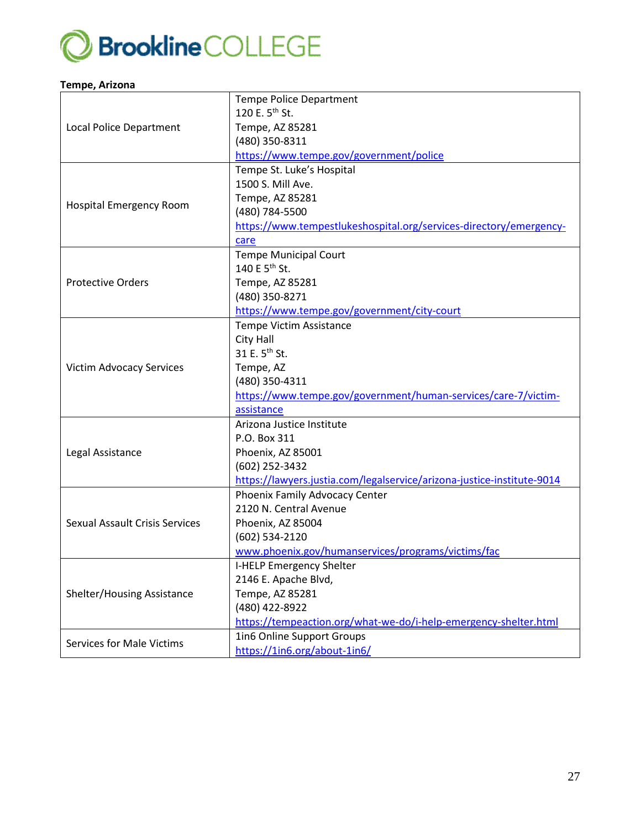![](_page_26_Picture_0.jpeg)

#### **Tempe, Arizona**

|                                       | <b>Tempe Police Department</b>                                         |  |  |  |  |
|---------------------------------------|------------------------------------------------------------------------|--|--|--|--|
|                                       | 120 E. 5 <sup>th</sup> St.                                             |  |  |  |  |
| <b>Local Police Department</b>        | Tempe, AZ 85281                                                        |  |  |  |  |
|                                       | (480) 350-8311                                                         |  |  |  |  |
|                                       | https://www.tempe.gov/government/police                                |  |  |  |  |
|                                       | Tempe St. Luke's Hospital                                              |  |  |  |  |
|                                       | 1500 S. Mill Ave.                                                      |  |  |  |  |
|                                       | Tempe, AZ 85281                                                        |  |  |  |  |
| Hospital Emergency Room               | (480) 784-5500                                                         |  |  |  |  |
|                                       | https://www.tempestlukeshospital.org/services-directory/emergency-     |  |  |  |  |
|                                       | care                                                                   |  |  |  |  |
|                                       | <b>Tempe Municipal Court</b>                                           |  |  |  |  |
|                                       | 140 E 5 <sup>th</sup> St.                                              |  |  |  |  |
| <b>Protective Orders</b>              | Tempe, AZ 85281                                                        |  |  |  |  |
|                                       | (480) 350-8271                                                         |  |  |  |  |
|                                       | https://www.tempe.gov/government/city-court                            |  |  |  |  |
|                                       | Tempe Victim Assistance                                                |  |  |  |  |
|                                       | City Hall                                                              |  |  |  |  |
|                                       | 31 E. 5 <sup>th</sup> St.                                              |  |  |  |  |
| Victim Advocacy Services              | Tempe, AZ                                                              |  |  |  |  |
|                                       | (480) 350-4311                                                         |  |  |  |  |
|                                       | https://www.tempe.gov/government/human-services/care-7/victim-         |  |  |  |  |
|                                       | assistance                                                             |  |  |  |  |
|                                       | Arizona Justice Institute                                              |  |  |  |  |
|                                       | P.O. Box 311                                                           |  |  |  |  |
| Legal Assistance                      | Phoenix, AZ 85001                                                      |  |  |  |  |
|                                       | (602) 252-3432                                                         |  |  |  |  |
|                                       | https://lawyers.justia.com/legalservice/arizona-justice-institute-9014 |  |  |  |  |
|                                       | Phoenix Family Advocacy Center                                         |  |  |  |  |
|                                       | 2120 N. Central Avenue                                                 |  |  |  |  |
| <b>Sexual Assault Crisis Services</b> | Phoenix, AZ 85004                                                      |  |  |  |  |
|                                       | (602) 534-2120                                                         |  |  |  |  |
|                                       | www.phoenix.gov/humanservices/programs/victims/fac                     |  |  |  |  |
|                                       | I-HELP Emergency Shelter                                               |  |  |  |  |
|                                       | 2146 E. Apache Blvd,                                                   |  |  |  |  |
| Shelter/Housing Assistance            | Tempe, AZ 85281                                                        |  |  |  |  |
|                                       | (480) 422-8922                                                         |  |  |  |  |
|                                       | https://tempeaction.org/what-we-do/i-help-emergency-shelter.html       |  |  |  |  |
| <b>Services for Male Victims</b>      | 1in6 Online Support Groups                                             |  |  |  |  |
|                                       | https://1in6.org/about-1in6/                                           |  |  |  |  |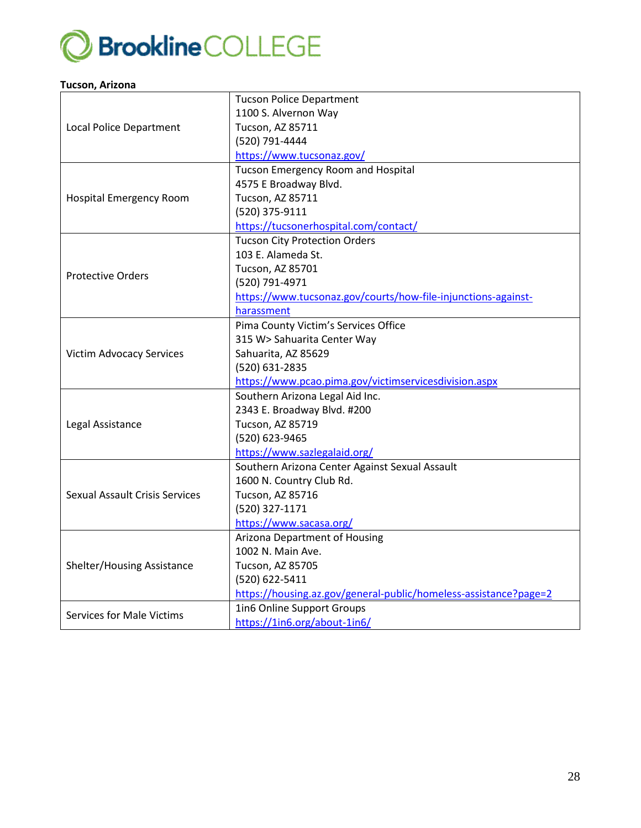![](_page_27_Picture_0.jpeg)

#### **Tucson, Arizona**

|                                       | <b>Tucson Police Department</b>                                  |  |  |  |  |
|---------------------------------------|------------------------------------------------------------------|--|--|--|--|
|                                       | 1100 S. Alvernon Way                                             |  |  |  |  |
| <b>Local Police Department</b>        | Tucson, AZ 85711                                                 |  |  |  |  |
|                                       | (520) 791-4444                                                   |  |  |  |  |
|                                       | https://www.tucsonaz.gov/                                        |  |  |  |  |
|                                       | Tucson Emergency Room and Hospital                               |  |  |  |  |
|                                       | 4575 E Broadway Blvd.                                            |  |  |  |  |
| <b>Hospital Emergency Room</b>        | Tucson, AZ 85711                                                 |  |  |  |  |
|                                       | (520) 375-9111                                                   |  |  |  |  |
|                                       | https://tucsonerhospital.com/contact/                            |  |  |  |  |
|                                       | <b>Tucson City Protection Orders</b>                             |  |  |  |  |
|                                       | 103 E. Alameda St.                                               |  |  |  |  |
|                                       | Tucson, AZ 85701                                                 |  |  |  |  |
| <b>Protective Orders</b>              | (520) 791-4971                                                   |  |  |  |  |
|                                       | https://www.tucsonaz.gov/courts/how-file-injunctions-against-    |  |  |  |  |
|                                       | harassment                                                       |  |  |  |  |
|                                       | Pima County Victim's Services Office                             |  |  |  |  |
|                                       | 315 W> Sahuarita Center Way                                      |  |  |  |  |
| <b>Victim Advocacy Services</b>       | Sahuarita, AZ 85629                                              |  |  |  |  |
|                                       | (520) 631-2835                                                   |  |  |  |  |
|                                       | https://www.pcao.pima.gov/victimservicesdivision.aspx            |  |  |  |  |
|                                       | Southern Arizona Legal Aid Inc.                                  |  |  |  |  |
|                                       | 2343 E. Broadway Blvd. #200                                      |  |  |  |  |
| Legal Assistance                      | Tucson, AZ 85719                                                 |  |  |  |  |
|                                       | (520) 623-9465                                                   |  |  |  |  |
|                                       | https://www.sazlegalaid.org/                                     |  |  |  |  |
|                                       | Southern Arizona Center Against Sexual Assault                   |  |  |  |  |
|                                       | 1600 N. Country Club Rd.                                         |  |  |  |  |
| <b>Sexual Assault Crisis Services</b> | Tucson, AZ 85716                                                 |  |  |  |  |
|                                       | (520) 327-1171                                                   |  |  |  |  |
|                                       | https://www.sacasa.org/                                          |  |  |  |  |
|                                       | Arizona Department of Housing                                    |  |  |  |  |
|                                       | 1002 N. Main Ave.                                                |  |  |  |  |
| Shelter/Housing Assistance            | Tucson, AZ 85705                                                 |  |  |  |  |
|                                       | (520) 622-5411                                                   |  |  |  |  |
|                                       | https://housing.az.gov/general-public/homeless-assistance?page=2 |  |  |  |  |
|                                       | 1in6 Online Support Groups                                       |  |  |  |  |
| <b>Services for Male Victims</b>      | https://1in6.org/about-1in6/                                     |  |  |  |  |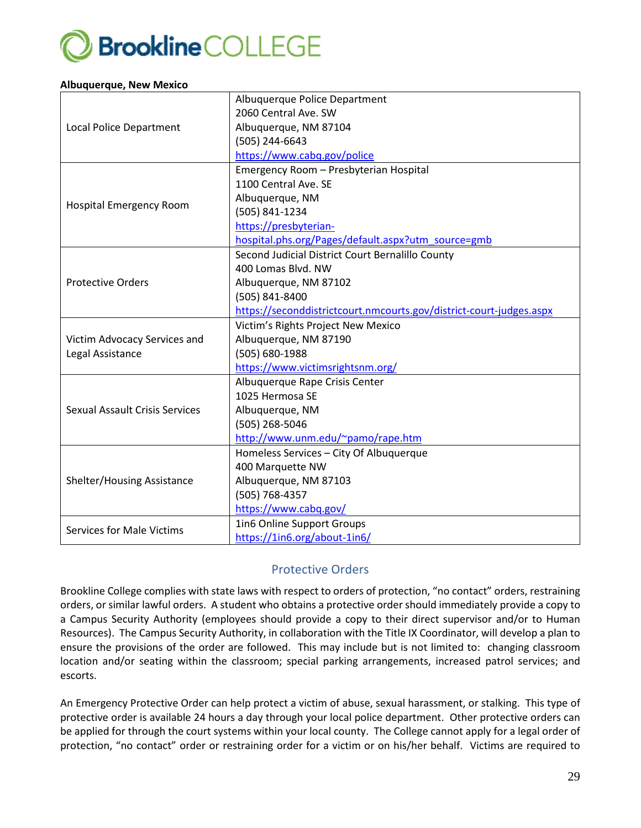![](_page_28_Picture_0.jpeg)

#### **Albuquerque, New Mexico**

|                                       | Albuquerque Police Department                                       |
|---------------------------------------|---------------------------------------------------------------------|
|                                       | 2060 Central Ave. SW                                                |
| <b>Local Police Department</b>        | Albuquerque, NM 87104                                               |
|                                       | (505) 244-6643                                                      |
|                                       | https://www.cabq.gov/police                                         |
|                                       | Emergency Room - Presbyterian Hospital                              |
|                                       | 1100 Central Ave. SE                                                |
|                                       | Albuquerque, NM                                                     |
| Hospital Emergency Room               | (505) 841-1234                                                      |
|                                       | https://presbyterian-                                               |
|                                       | hospital.phs.org/Pages/default.aspx?utm_source=gmb                  |
|                                       | Second Judicial District Court Bernalillo County                    |
|                                       | 400 Lomas Blvd. NW                                                  |
| <b>Protective Orders</b>              | Albuquerque, NM 87102                                               |
|                                       | (505) 841-8400                                                      |
|                                       | https://seconddistrictcourt.nmcourts.gov/district-court-judges.aspx |
|                                       | Victim's Rights Project New Mexico                                  |
| Victim Advocacy Services and          | Albuquerque, NM 87190                                               |
| Legal Assistance                      | (505) 680-1988                                                      |
|                                       |                                                                     |
|                                       | https://www.victimsrightsnm.org/                                    |
|                                       | Albuquerque Rape Crisis Center                                      |
|                                       | 1025 Hermosa SE                                                     |
| <b>Sexual Assault Crisis Services</b> | Albuquerque, NM                                                     |
|                                       | (505) 268-5046                                                      |
|                                       | http://www.unm.edu/~pamo/rape.htm                                   |
|                                       | Homeless Services - City Of Albuquerque                             |
|                                       | 400 Marquette NW                                                    |
| Shelter/Housing Assistance            | Albuquerque, NM 87103                                               |
|                                       | (505) 768-4357                                                      |
|                                       | https://www.cabq.gov/                                               |
| <b>Services for Male Victims</b>      | 1in6 Online Support Groups                                          |

## Protective Orders

Brookline College complies with state laws with respect to orders of protection, "no contact" orders, restraining orders, or similar lawful orders. A student who obtains a protective order should immediately provide a copy to a Campus Security Authority (employees should provide a copy to their direct supervisor and/or to Human Resources). The Campus Security Authority, in collaboration with the Title IX Coordinator, will develop a plan to ensure the provisions of the order are followed. This may include but is not limited to: changing classroom location and/or seating within the classroom; special parking arrangements, increased patrol services; and escorts.

An Emergency Protective Order can help protect a victim of abuse, sexual harassment, or stalking. This type of protective order is available 24 hours a day through your local police department. Other protective orders can be applied for through the court systems within your local county. The College cannot apply for a legal order of protection, "no contact" order or restraining order for a victim or on his/her behalf. Victims are required to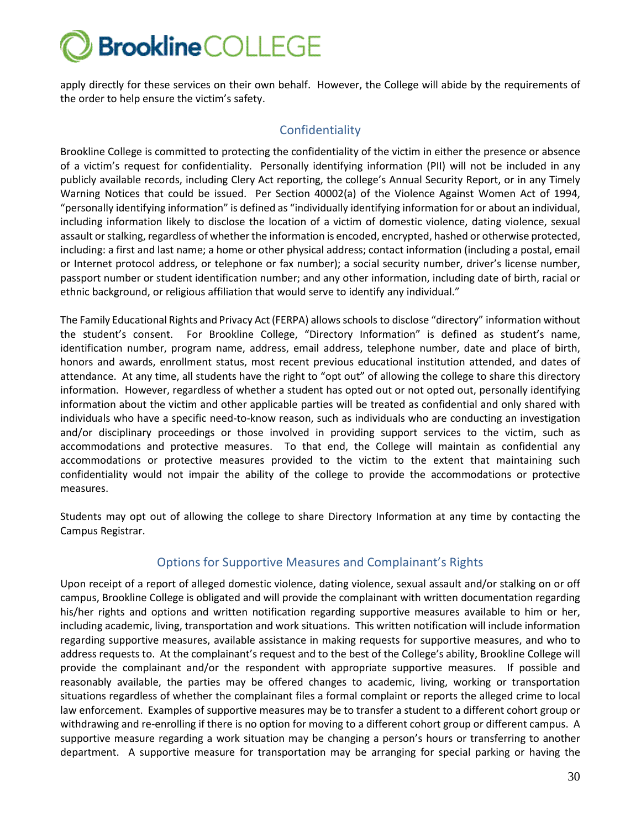# **Brookline** COLLEGE

apply directly for these services on their own behalf. However, the College will abide by the requirements of the order to help ensure the victim's safety.

# Confidentiality

Brookline College is committed to protecting the confidentiality of the victim in either the presence or absence of a victim's request for confidentiality. Personally identifying information (PII) will not be included in any publicly available records, including Clery Act reporting, the college's Annual Security Report, or in any Timely Warning Notices that could be issued. Per Section 40002(a) of the Violence Against Women Act of 1994, "personally identifying information" is defined as "individually identifying information for or about an individual, including information likely to disclose the location of a victim of domestic violence, dating violence, sexual assault or stalking, regardless of whether the information is encoded, encrypted, hashed or otherwise protected, including: a first and last name; a home or other physical address; contact information (including a postal, email or Internet protocol address, or telephone or fax number); a social security number, driver's license number, passport number or student identification number; and any other information, including date of birth, racial or ethnic background, or religious affiliation that would serve to identify any individual."

The Family Educational Rights and Privacy Act(FERPA) allows schools to disclose "directory" information without the student's consent. For Brookline College, "Directory Information" is defined as student's name, identification number, program name, address, email address, telephone number, date and place of birth, honors and awards, enrollment status, most recent previous educational institution attended, and dates of attendance. At any time, all students have the right to "opt out" of allowing the college to share this directory information. However, regardless of whether a student has opted out or not opted out, personally identifying information about the victim and other applicable parties will be treated as confidential and only shared with individuals who have a specific need-to-know reason, such as individuals who are conducting an investigation and/or disciplinary proceedings or those involved in providing support services to the victim, such as accommodations and protective measures. To that end, the College will maintain as confidential any accommodations or protective measures provided to the victim to the extent that maintaining such confidentiality would not impair the ability of the college to provide the accommodations or protective measures.

Students may opt out of allowing the college to share Directory Information at any time by contacting the Campus Registrar.

# Options for Supportive Measures and Complainant's Rights

Upon receipt of a report of alleged domestic violence, dating violence, sexual assault and/or stalking on or off campus, Brookline College is obligated and will provide the complainant with written documentation regarding his/her rights and options and written notification regarding supportive measures available to him or her, including academic, living, transportation and work situations. This written notification will include information regarding supportive measures, available assistance in making requests for supportive measures, and who to address requests to. At the complainant's request and to the best of the College's ability, Brookline College will provide the complainant and/or the respondent with appropriate supportive measures. If possible and reasonably available, the parties may be offered changes to academic, living, working or transportation situations regardless of whether the complainant files a formal complaint or reports the alleged crime to local law enforcement. Examples of supportive measures may be to transfer a student to a different cohort group or withdrawing and re-enrolling if there is no option for moving to a different cohort group or different campus. A supportive measure regarding a work situation may be changing a person's hours or transferring to another department. A supportive measure for transportation may be arranging for special parking or having the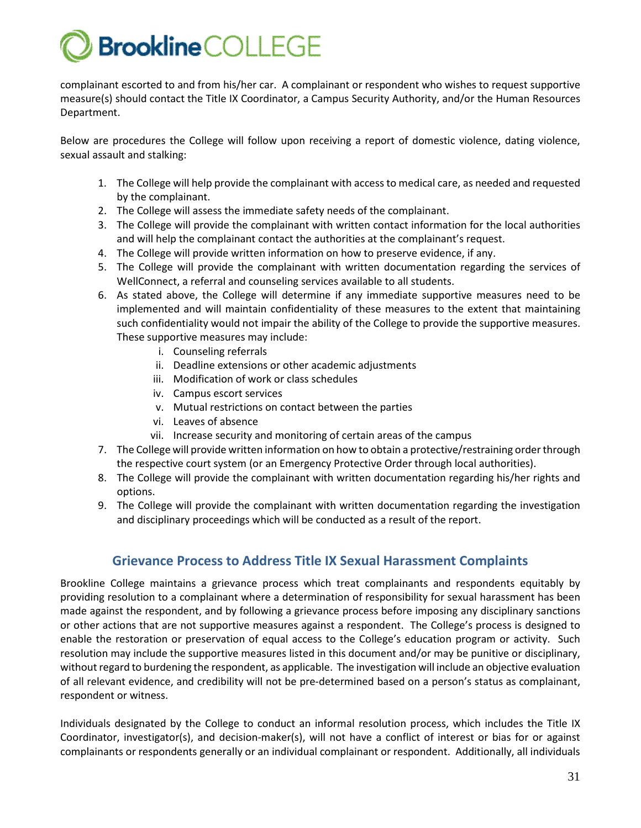![](_page_30_Picture_0.jpeg)

complainant escorted to and from his/her car. A complainant or respondent who wishes to request supportive measure(s) should contact the Title IX Coordinator, a Campus Security Authority, and/or the Human Resources Department.

Below are procedures the College will follow upon receiving a report of domestic violence, dating violence, sexual assault and stalking:

- 1. The College will help provide the complainant with access to medical care, as needed and requested by the complainant.
- 2. The College will assess the immediate safety needs of the complainant.
- 3. The College will provide the complainant with written contact information for the local authorities and will help the complainant contact the authorities at the complainant's request.
- 4. The College will provide written information on how to preserve evidence, if any.
- 5. The College will provide the complainant with written documentation regarding the services of WellConnect, a referral and counseling services available to all students.
- 6. As stated above, the College will determine if any immediate supportive measures need to be implemented and will maintain confidentiality of these measures to the extent that maintaining such confidentiality would not impair the ability of the College to provide the supportive measures. These supportive measures may include:
	- i. Counseling referrals
	- ii. Deadline extensions or other academic adjustments
	- iii. Modification of work or class schedules
	- iv. Campus escort services
	- v. Mutual restrictions on contact between the parties
	- vi. Leaves of absence
	- vii. Increase security and monitoring of certain areas of the campus
- 7. The College will provide written information on how to obtain a protective/restraining order through the respective court system (or an Emergency Protective Order through local authorities).
- 8. The College will provide the complainant with written documentation regarding his/her rights and options.
- 9. The College will provide the complainant with written documentation regarding the investigation and disciplinary proceedings which will be conducted as a result of the report.

# **Grievance Process to Address Title IX Sexual Harassment Complaints**

Brookline College maintains a grievance process which treat complainants and respondents equitably by providing resolution to a complainant where a determination of responsibility for sexual harassment has been made against the respondent, and by following a grievance process before imposing any disciplinary sanctions or other actions that are not supportive measures against a respondent. The College's process is designed to enable the restoration or preservation of equal access to the College's education program or activity. Such resolution may include the supportive measures listed in this document and/or may be punitive or disciplinary, without regard to burdening the respondent, as applicable. The investigation will include an objective evaluation of all relevant evidence, and credibility will not be pre-determined based on a person's status as complainant, respondent or witness.

Individuals designated by the College to conduct an informal resolution process, which includes the Title IX Coordinator, investigator(s), and decision-maker(s), will not have a conflict of interest or bias for or against complainants or respondents generally or an individual complainant or respondent. Additionally, all individuals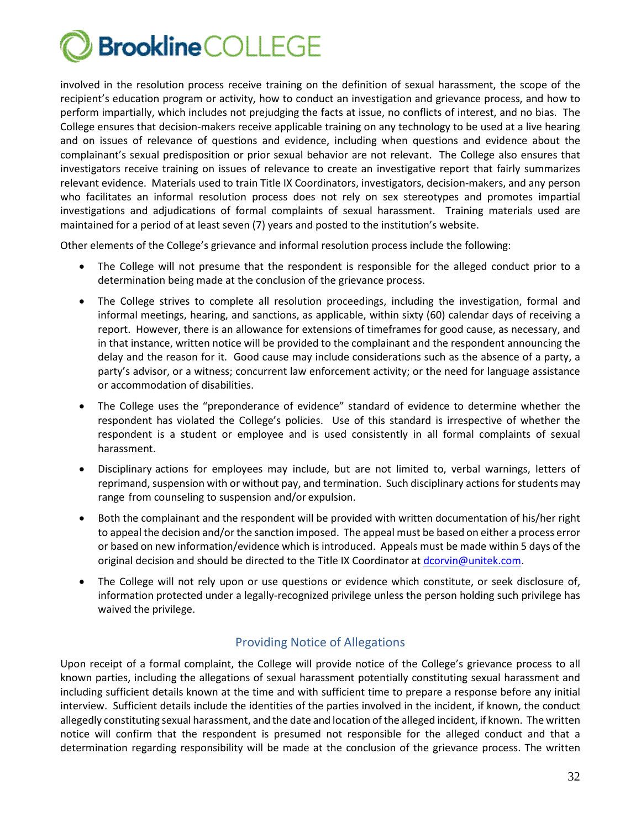![](_page_31_Picture_0.jpeg)

involved in the resolution process receive training on the definition of sexual harassment, the scope of the recipient's education program or activity, how to conduct an investigation and grievance process, and how to perform impartially, which includes not prejudging the facts at issue, no conflicts of interest, and no bias. The College ensures that decision-makers receive applicable training on any technology to be used at a live hearing and on issues of relevance of questions and evidence, including when questions and evidence about the complainant's sexual predisposition or prior sexual behavior are not relevant. The College also ensures that investigators receive training on issues of relevance to create an investigative report that fairly summarizes relevant evidence. Materials used to train Title IX Coordinators, investigators, decision-makers, and any person who facilitates an informal resolution process does not rely on sex stereotypes and promotes impartial investigations and adjudications of formal complaints of sexual harassment. Training materials used are maintained for a period of at least seven (7) years and posted to the institution's website.

Other elements of the College's grievance and informal resolution process include the following:

- The College will not presume that the respondent is responsible for the alleged conduct prior to a determination being made at the conclusion of the grievance process.
- The College strives to complete all resolution proceedings, including the investigation, formal and informal meetings, hearing, and sanctions, as applicable, within sixty (60) calendar days of receiving a report. However, there is an allowance for extensions of timeframes for good cause, as necessary, and in that instance, written notice will be provided to the complainant and the respondent announcing the delay and the reason for it. Good cause may include considerations such as the absence of a party, a party's advisor, or a witness; concurrent law enforcement activity; or the need for language assistance or accommodation of disabilities.
- The College uses the "preponderance of evidence" standard of evidence to determine whether the respondent has violated the College's policies. Use of this standard is irrespective of whether the respondent is a student or employee and is used consistently in all formal complaints of sexual harassment.
- Disciplinary actions for employees may include, but are not limited to, verbal warnings, letters of reprimand, suspension with or without pay, and termination. Such disciplinary actions for students may range from counseling to suspension and/or expulsion.
- Both the complainant and the respondent will be provided with written documentation of his/her right to appeal the decision and/or the sanction imposed. The appeal must be based on either a process error or based on new information/evidence which is introduced. Appeals must be made within 5 days of the original decision and should be directed to the Title IX Coordinator a[t dcorvin@unitek.com.](mailto:dcorvin@unitek.com)
- The College will not rely upon or use questions or evidence which constitute, or seek disclosure of, information protected under a legally-recognized privilege unless the person holding such privilege has waived the privilege.

# Providing Notice of Allegations

Upon receipt of a formal complaint, the College will provide notice of the College's grievance process to all known parties, including the allegations of sexual harassment potentially constituting sexual harassment and including sufficient details known at the time and with sufficient time to prepare a response before any initial interview. Sufficient details include the identities of the parties involved in the incident, if known, the conduct allegedly constituting sexual harassment, and the date and location of the alleged incident, if known. The written notice will confirm that the respondent is presumed not responsible for the alleged conduct and that a determination regarding responsibility will be made at the conclusion of the grievance process. The written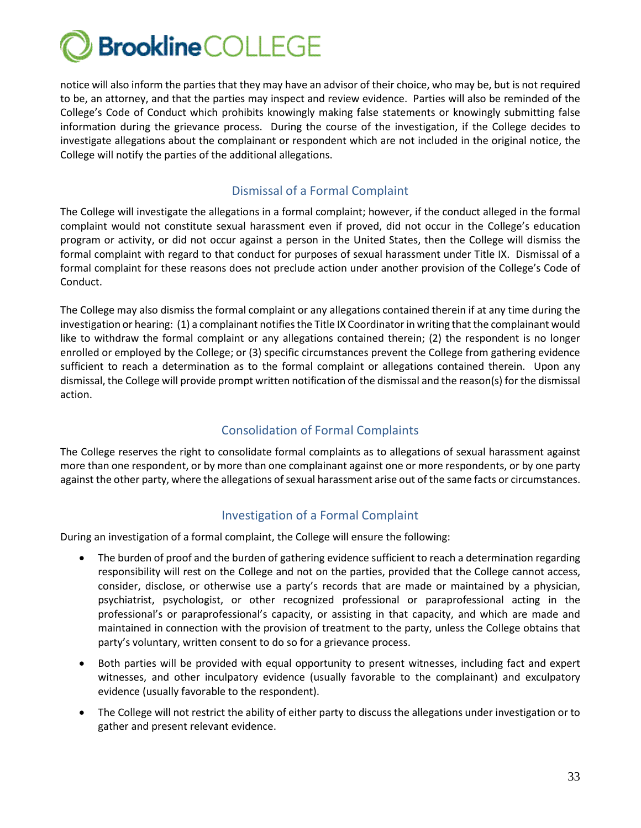![](_page_32_Picture_0.jpeg)

notice will also inform the parties that they may have an advisor of their choice, who may be, but is not required to be, an attorney, and that the parties may inspect and review evidence. Parties will also be reminded of the College's Code of Conduct which prohibits knowingly making false statements or knowingly submitting false information during the grievance process. During the course of the investigation, if the College decides to investigate allegations about the complainant or respondent which are not included in the original notice, the College will notify the parties of the additional allegations.

# Dismissal of a Formal Complaint

The College will investigate the allegations in a formal complaint; however, if the conduct alleged in the formal complaint would not constitute sexual harassment even if proved, did not occur in the College's education program or activity, or did not occur against a person in the United States, then the College will dismiss the formal complaint with regard to that conduct for purposes of sexual harassment under Title IX. Dismissal of a formal complaint for these reasons does not preclude action under another provision of the College's Code of Conduct.

The College may also dismiss the formal complaint or any allegations contained therein if at any time during the investigation or hearing: (1) a complainant notifies the Title IX Coordinator in writing that the complainant would like to withdraw the formal complaint or any allegations contained therein; (2) the respondent is no longer enrolled or employed by the College; or (3) specific circumstances prevent the College from gathering evidence sufficient to reach a determination as to the formal complaint or allegations contained therein. Upon any dismissal, the College will provide prompt written notification of the dismissal and the reason(s) for the dismissal action.

# Consolidation of Formal Complaints

The College reserves the right to consolidate formal complaints as to allegations of sexual harassment against more than one respondent, or by more than one complainant against one or more respondents, or by one party against the other party, where the allegations of sexual harassment arise out of the same facts or circumstances.

## Investigation of a Formal Complaint

During an investigation of a formal complaint, the College will ensure the following:

- The burden of proof and the burden of gathering evidence sufficient to reach a determination regarding responsibility will rest on the College and not on the parties, provided that the College cannot access, consider, disclose, or otherwise use a party's records that are made or maintained by a physician, psychiatrist, psychologist, or other recognized professional or paraprofessional acting in the professional's or paraprofessional's capacity, or assisting in that capacity, and which are made and maintained in connection with the provision of treatment to the party, unless the College obtains that party's voluntary, written consent to do so for a grievance process.
- Both parties will be provided with equal opportunity to present witnesses, including fact and expert witnesses, and other inculpatory evidence (usually favorable to the complainant) and exculpatory evidence (usually favorable to the respondent).
- The College will not restrict the ability of either party to discuss the allegations under investigation or to gather and present relevant evidence.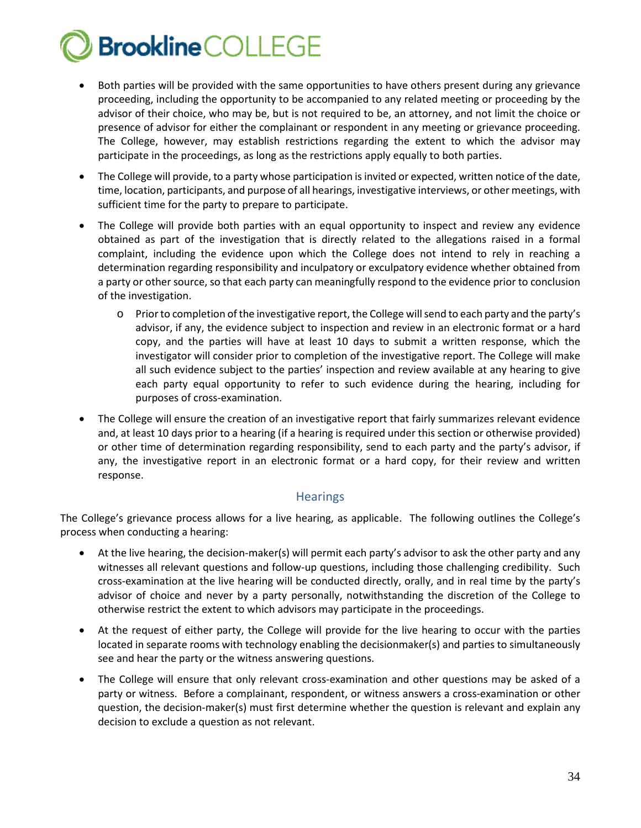# **Brookline**COLLEGE

- Both parties will be provided with the same opportunities to have others present during any grievance proceeding, including the opportunity to be accompanied to any related meeting or proceeding by the advisor of their choice, who may be, but is not required to be, an attorney, and not limit the choice or presence of advisor for either the complainant or respondent in any meeting or grievance proceeding. The College, however, may establish restrictions regarding the extent to which the advisor may participate in the proceedings, as long as the restrictions apply equally to both parties.
- The College will provide, to a party whose participation is invited or expected, written notice of the date, time, location, participants, and purpose of all hearings, investigative interviews, or other meetings, with sufficient time for the party to prepare to participate.
- The College will provide both parties with an equal opportunity to inspect and review any evidence obtained as part of the investigation that is directly related to the allegations raised in a formal complaint, including the evidence upon which the College does not intend to rely in reaching a determination regarding responsibility and inculpatory or exculpatory evidence whether obtained from a party or other source, so that each party can meaningfully respond to the evidence prior to conclusion of the investigation.
	- o Prior to completion of the investigative report, the College will send to each party and the party's advisor, if any, the evidence subject to inspection and review in an electronic format or a hard copy, and the parties will have at least 10 days to submit a written response, which the investigator will consider prior to completion of the investigative report. The College will make all such evidence subject to the parties' inspection and review available at any hearing to give each party equal opportunity to refer to such evidence during the hearing, including for purposes of cross-examination.
- The College will ensure the creation of an investigative report that fairly summarizes relevant evidence and, at least 10 days prior to a hearing (if a hearing is required under this section or otherwise provided) or other time of determination regarding responsibility, send to each party and the party's advisor, if any, the investigative report in an electronic format or a hard copy, for their review and written response.

#### **Hearings**

The College's grievance process allows for a live hearing, as applicable. The following outlines the College's process when conducting a hearing:

- At the live hearing, the decision-maker(s) will permit each party's advisor to ask the other party and any witnesses all relevant questions and follow-up questions, including those challenging credibility. Such cross-examination at the live hearing will be conducted directly, orally, and in real time by the party's advisor of choice and never by a party personally, notwithstanding the discretion of the College to otherwise restrict the extent to which advisors may participate in the proceedings.
- At the request of either party, the College will provide for the live hearing to occur with the parties located in separate rooms with technology enabling the decisionmaker(s) and parties to simultaneously see and hear the party or the witness answering questions.
- The College will ensure that only relevant cross-examination and other questions may be asked of a party or witness. Before a complainant, respondent, or witness answers a cross-examination or other question, the decision-maker(s) must first determine whether the question is relevant and explain any decision to exclude a question as not relevant.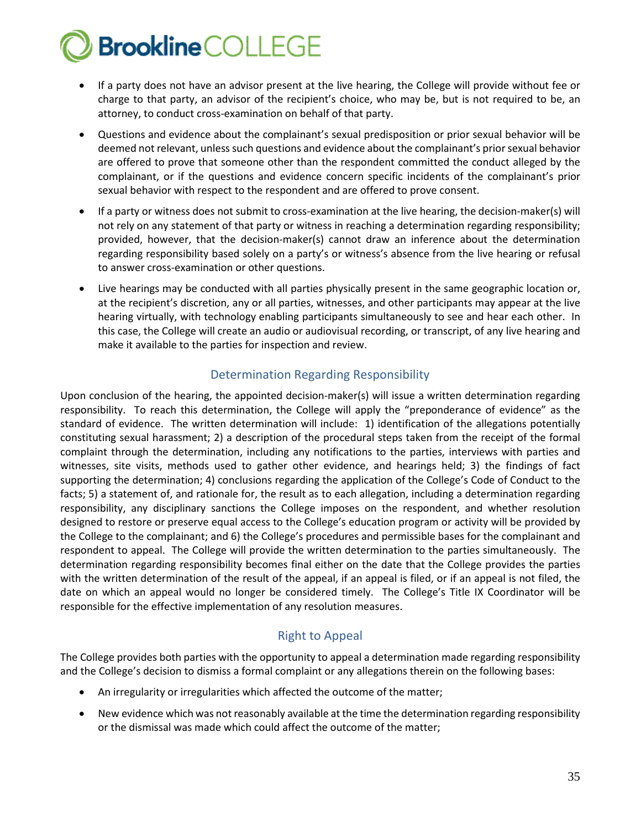# **Brookline** COLLEGE

- If a party does not have an advisor present at the live hearing, the College will provide without fee or charge to that party, an advisor of the recipient's choice, who may be, but is not required to be, an attorney, to conduct cross-examination on behalf of that party.
- Questions and evidence about the complainant's sexual predisposition or prior sexual behavior will be deemed not relevant, unless such questions and evidence about the complainant's prior sexual behavior are offered to prove that someone other than the respondent committed the conduct alleged by the complainant, or if the questions and evidence concern specific incidents of the complainant's prior sexual behavior with respect to the respondent and are offered to prove consent.
- If a party or witness does not submit to cross-examination at the live hearing, the decision-maker(s) will not rely on any statement of that party or witness in reaching a determination regarding responsibility; provided, however, that the decision-maker(s) cannot draw an inference about the determination regarding responsibility based solely on a party's or witness's absence from the live hearing or refusal to answer cross-examination or other questions.
- Live hearings may be conducted with all parties physically present in the same geographic location or, at the recipient's discretion, any or all parties, witnesses, and other participants may appear at the live hearing virtually, with technology enabling participants simultaneously to see and hear each other. In this case, the College will create an audio or audiovisual recording, or transcript, of any live hearing and make it available to the parties for inspection and review.

# Determination Regarding Responsibility

Upon conclusion of the hearing, the appointed decision-maker(s) will issue a written determination regarding responsibility. To reach this determination, the College will apply the "preponderance of evidence" as the standard of evidence. The written determination will include: 1) identification of the allegations potentially constituting sexual harassment; 2) a description of the procedural steps taken from the receipt of the formal complaint through the determination, including any notifications to the parties, interviews with parties and witnesses, site visits, methods used to gather other evidence, and hearings held; 3) the findings of fact supporting the determination; 4) conclusions regarding the application of the College's Code of Conduct to the facts; 5) a statement of, and rationale for, the result as to each allegation, including a determination regarding responsibility, any disciplinary sanctions the College imposes on the respondent, and whether resolution designed to restore or preserve equal access to the College's education program or activity will be provided by the College to the complainant; and 6) the College's procedures and permissible bases for the complainant and respondent to appeal. The College will provide the written determination to the parties simultaneously. The determination regarding responsibility becomes final either on the date that the College provides the parties with the written determination of the result of the appeal, if an appeal is filed, or if an appeal is not filed, the date on which an appeal would no longer be considered timely. The College's Title IX Coordinator will be responsible for the effective implementation of any resolution measures.

## Right to Appeal

The College provides both parties with the opportunity to appeal a determination made regarding responsibility and the College's decision to dismiss a formal complaint or any allegations therein on the following bases:

- An irregularity or irregularities which affected the outcome of the matter;
- New evidence which was not reasonably available at the time the determination regarding responsibility or the dismissal was made which could affect the outcome of the matter;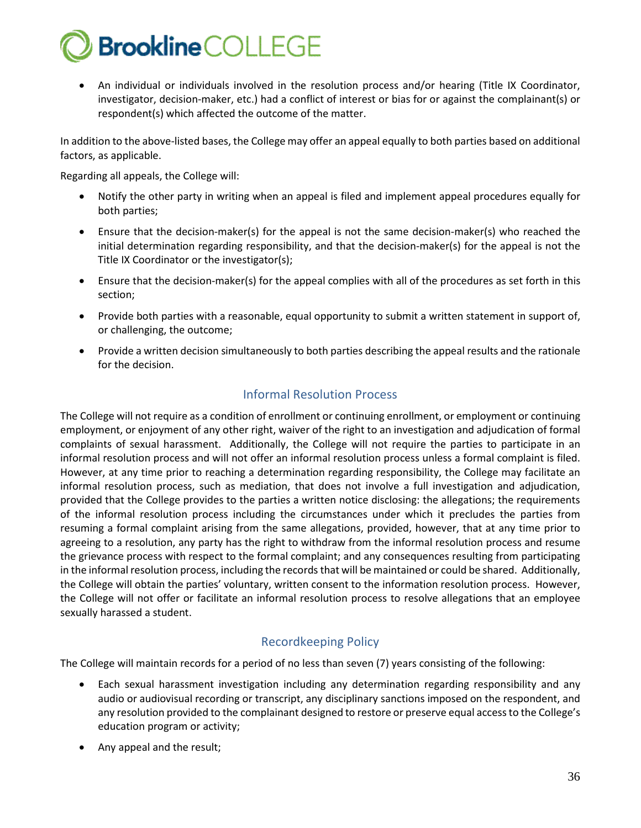![](_page_35_Picture_0.jpeg)

• An individual or individuals involved in the resolution process and/or hearing (Title IX Coordinator, investigator, decision-maker, etc.) had a conflict of interest or bias for or against the complainant(s) or respondent(s) which affected the outcome of the matter.

In addition to the above-listed bases, the College may offer an appeal equally to both parties based on additional factors, as applicable.

Regarding all appeals, the College will:

- Notify the other party in writing when an appeal is filed and implement appeal procedures equally for both parties;
- Ensure that the decision-maker(s) for the appeal is not the same decision-maker(s) who reached the initial determination regarding responsibility, and that the decision-maker(s) for the appeal is not the Title IX Coordinator or the investigator(s);
- Ensure that the decision-maker(s) for the appeal complies with all of the procedures as set forth in this section;
- Provide both parties with a reasonable, equal opportunity to submit a written statement in support of, or challenging, the outcome;
- Provide a written decision simultaneously to both parties describing the appeal results and the rationale for the decision.

#### Informal Resolution Process

The College will not require as a condition of enrollment or continuing enrollment, or employment or continuing employment, or enjoyment of any other right, waiver of the right to an investigation and adjudication of formal complaints of sexual harassment. Additionally, the College will not require the parties to participate in an informal resolution process and will not offer an informal resolution process unless a formal complaint is filed. However, at any time prior to reaching a determination regarding responsibility, the College may facilitate an informal resolution process, such as mediation, that does not involve a full investigation and adjudication, provided that the College provides to the parties a written notice disclosing: the allegations; the requirements of the informal resolution process including the circumstances under which it precludes the parties from resuming a formal complaint arising from the same allegations, provided, however, that at any time prior to agreeing to a resolution, any party has the right to withdraw from the informal resolution process and resume the grievance process with respect to the formal complaint; and any consequences resulting from participating in the informal resolution process, including the records that will be maintained or could be shared. Additionally, the College will obtain the parties' voluntary, written consent to the information resolution process. However, the College will not offer or facilitate an informal resolution process to resolve allegations that an employee sexually harassed a student.

## Recordkeeping Policy

The College will maintain records for a period of no less than seven (7) years consisting of the following:

- Each sexual harassment investigation including any determination regarding responsibility and any audio or audiovisual recording or transcript, any disciplinary sanctions imposed on the respondent, and any resolution provided to the complainant designed to restore or preserve equal access to the College's education program or activity;
- Any appeal and the result;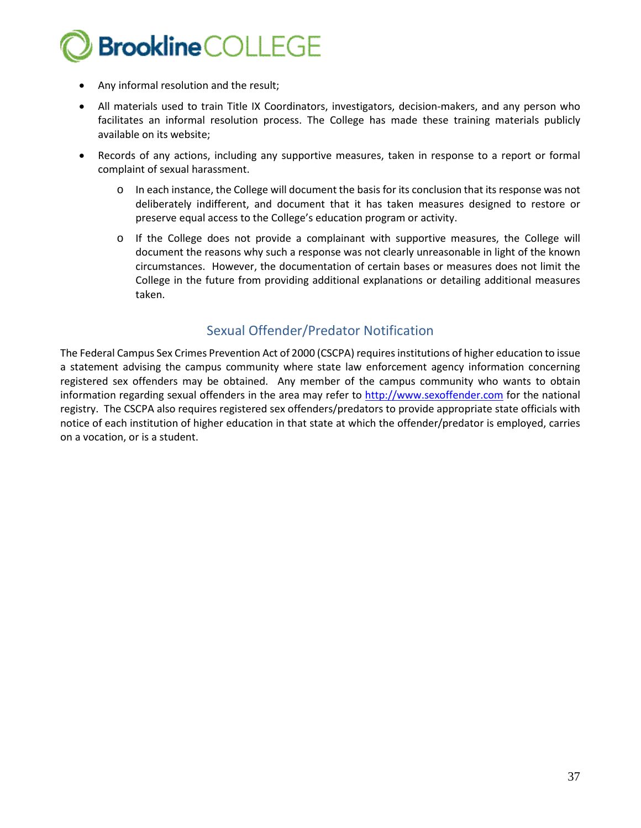![](_page_36_Picture_0.jpeg)

- Any informal resolution and the result;
- All materials used to train Title IX Coordinators, investigators, decision-makers, and any person who facilitates an informal resolution process. The College has made these training materials publicly available on its website;
- Records of any actions, including any supportive measures, taken in response to a report or formal complaint of sexual harassment.
	- o In each instance, the College will document the basis for its conclusion that its response was not deliberately indifferent, and document that it has taken measures designed to restore or preserve equal access to the College's education program or activity.
	- o If the College does not provide a complainant with supportive measures, the College will document the reasons why such a response was not clearly unreasonable in light of the known circumstances. However, the documentation of certain bases or measures does not limit the College in the future from providing additional explanations or detailing additional measures taken.

# Sexual Offender/Predator Notification

The Federal Campus Sex Crimes Prevention Act of 2000 (CSCPA) requires institutions of higher education to issue a statement advising the campus community where state law enforcement agency information concerning registered sex offenders may be obtained. Any member of the campus community who wants to obtain information regarding sexual offenders in the area may refer to [http://www.sexoffender.com](http://www.sexoffender.com/) for the national registry. The CSCPA also requires registered sex offenders/predators to provide appropriate state officials with notice of each institution of higher education in that state at which the offender/predator is employed, carries on a vocation, or is a student.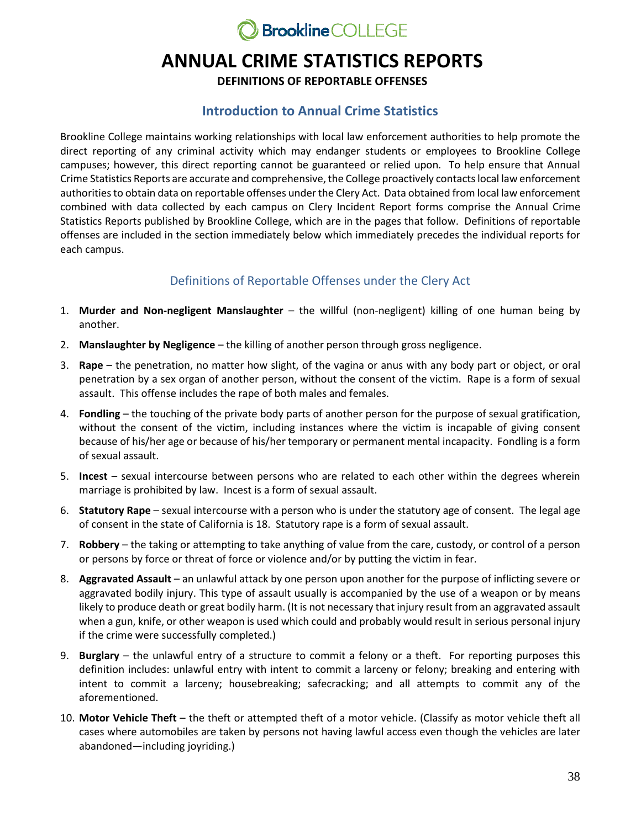![](_page_37_Picture_0.jpeg)

# **ANNUAL CRIME STATISTICS REPORTS**

**DEFINITIONS OF REPORTABLE OFFENSES**

# **Introduction to Annual Crime Statistics**

Brookline College maintains working relationships with local law enforcement authorities to help promote the direct reporting of any criminal activity which may endanger students or employees to Brookline College campuses; however, this direct reporting cannot be guaranteed or relied upon. To help ensure that Annual Crime Statistics Reports are accurate and comprehensive, the College proactively contacts local law enforcement authorities to obtain data on reportable offenses under the Clery Act. Data obtained from local law enforcement combined with data collected by each campus on Clery Incident Report forms comprise the Annual Crime Statistics Reports published by Brookline College, which are in the pages that follow. Definitions of reportable offenses are included in the section immediately below which immediately precedes the individual reports for each campus.

# Definitions of Reportable Offenses under the Clery Act

- 1. **Murder and Non-negligent Manslaughter** the willful (non-negligent) killing of one human being by another.
- 2. **Manslaughter by Negligence** the killing of another person through gross negligence.
- 3. **Rape** the penetration, no matter how slight, of the vagina or anus with any body part or object, or oral penetration by a sex organ of another person, without the consent of the victim. Rape is a form of sexual assault. This offense includes the rape of both males and females.
- 4. **Fondling** the touching of the private body parts of another person for the purpose of sexual gratification, without the consent of the victim, including instances where the victim is incapable of giving consent because of his/her age or because of his/her temporary or permanent mental incapacity. Fondling is a form of sexual assault.
- 5. **Incest**  sexual intercourse between persons who are related to each other within the degrees wherein marriage is prohibited by law. Incest is a form of sexual assault.
- 6. **Statutory Rape**  sexual intercourse with a person who is under the statutory age of consent. The legal age of consent in the state of California is 18. Statutory rape is a form of sexual assault.
- 7. **Robbery**  the taking or attempting to take anything of value from the care, custody, or control of a person or persons by force or threat of force or violence and/or by putting the victim in fear.
- 8. **Aggravated Assault** an unlawful attack by one person upon another for the purpose of inflicting severe or aggravated bodily injury. This type of assault usually is accompanied by the use of a weapon or by means likely to produce death or great bodily harm. (It is not necessary that injury result from an aggravated assault when a gun, knife, or other weapon is used which could and probably would result in serious personal injury if the crime were successfully completed.)
- 9. **Burglary**  the unlawful entry of a structure to commit a felony or a theft. For reporting purposes this definition includes: unlawful entry with intent to commit a larceny or felony; breaking and entering with intent to commit a larceny; housebreaking; safecracking; and all attempts to commit any of the aforementioned.
- 10. **Motor Vehicle Theft**  the theft or attempted theft of a motor vehicle. (Classify as motor vehicle theft all cases where automobiles are taken by persons not having lawful access even though the vehicles are later abandoned—including joyriding.)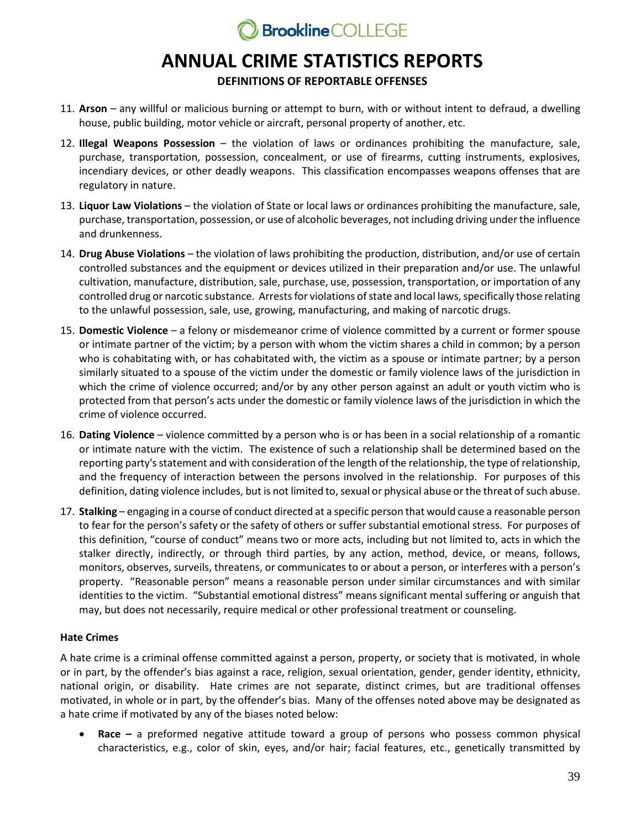![](_page_38_Picture_0.jpeg)

# **ANNUAL CRIME STATISTICS REPORTS DEFINITIONS OF REPORTABLE OFFENSES**

- 11. **Arson**  any willful or malicious burning or attempt to burn, with or without intent to defraud, a dwelling house, public building, motor vehicle or aircraft, personal property of another, etc.
- 12. **Illegal Weapons Possession**  the violation of laws or ordinances prohibiting the manufacture, sale, purchase, transportation, possession, concealment, or use of firearms, cutting instruments, explosives, incendiary devices, or other deadly weapons. This classification encompasses weapons offenses that are regulatory in nature.
- 13. **Liquor Law Violations**  the violation of State or local laws or ordinances prohibiting the manufacture, sale, purchase, transportation, possession, or use of alcoholic beverages, not including driving under the influence and drunkenness.
- 14. **Drug Abuse Violations**  the violation of laws prohibiting the production, distribution, and/or use of certain controlled substances and the equipment or devices utilized in their preparation and/or use. The unlawful cultivation, manufacture, distribution, sale, purchase, use, possession, transportation, or importation of any controlled drug or narcotic substance. Arrests for violations of state and local laws, specifically those relating to the unlawful possession, sale, use, growing, manufacturing, and making of narcotic drugs.
- 15. **Domestic Violence** a felony or misdemeanor crime of violence committed by a current or former spouse or intimate partner of the victim; by a person with whom the victim shares a child in common; by a person who is cohabitating with, or has cohabitated with, the victim as a spouse or intimate partner; by a person similarly situated to a spouse of the victim under the domestic or family violence laws of the jurisdiction in which the crime of violence occurred; and/or by any other person against an adult or youth victim who is protected from that person's acts under the domestic or family violence laws of the jurisdiction in which the crime of violence occurred.
- 16. **Dating Violence** violence committed by a person who is or has been in a social relationship of a romantic or intimate nature with the victim. The existence of such a relationship shall be determined based on the reporting party's statement and with consideration of the length of the relationship, the type of relationship, and the frequency of interaction between the persons involved in the relationship. For purposes of this definition, dating violence includes, but is not limited to, sexual or physical abuse or the threat of such abuse.
- 17. **Stalking**  engaging in a course of conduct directed at a specific person that would cause a reasonable person to fear for the person's safety or the safety of others or suffer substantial emotional stress. For purposes of this definition, "course of conduct" means two or more acts, including but not limited to, acts in which the stalker directly, indirectly, or through third parties, by any action, method, device, or means, follows, monitors, observes, surveils, threatens, or communicates to or about a person, or interferes with a person's property. "Reasonable person" means a reasonable person under similar circumstances and with similar identities to the victim. "Substantial emotional distress" means significant mental suffering or anguish that may, but does not necessarily, require medical or other professional treatment or counseling.

#### **Hate Crimes**

A hate crime is a criminal offense committed against a person, property, or society that is motivated, in whole or in part, by the offender's bias against a race, religion, sexual orientation, gender, gender identity, ethnicity, national origin, or disability. Hate crimes are not separate, distinct crimes, but are traditional offenses motivated, in whole or in part, by the offender's bias. Many of the offenses noted above may be designated as a hate crime if motivated by any of the biases noted below:

• **Race –** a preformed negative attitude toward a group of persons who possess common physical characteristics, e.g., color of skin, eyes, and/or hair; facial features, etc., genetically transmitted by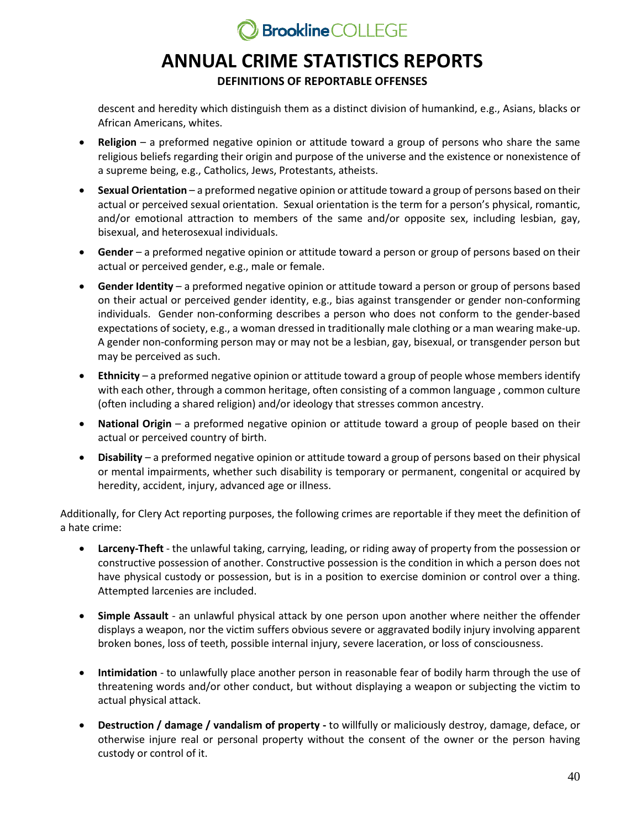![](_page_39_Picture_0.jpeg)

# **ANNUAL CRIME STATISTICS REPORTS DEFINITIONS OF REPORTABLE OFFENSES**

descent and heredity which distinguish them as a distinct division of humankind, e.g., Asians, blacks or African Americans, whites.

- **Religion** a preformed negative opinion or attitude toward a group of persons who share the same religious beliefs regarding their origin and purpose of the universe and the existence or nonexistence of a supreme being, e.g., Catholics, Jews, Protestants, atheists.
- **Sexual Orientation** a preformed negative opinion or attitude toward a group of persons based on their actual or perceived sexual orientation. Sexual orientation is the term for a person's physical, romantic, and/or emotional attraction to members of the same and/or opposite sex, including lesbian, gay, bisexual, and heterosexual individuals.
- **Gender** a preformed negative opinion or attitude toward a person or group of persons based on their actual or perceived gender, e.g., male or female.
- **Gender Identity** a preformed negative opinion or attitude toward a person or group of persons based on their actual or perceived gender identity, e.g., bias against transgender or gender non-conforming individuals. Gender non-conforming describes a person who does not conform to the gender-based expectations of society, e.g., a woman dressed in traditionally male clothing or a man wearing make-up. A gender non-conforming person may or may not be a lesbian, gay, bisexual, or transgender person but may be perceived as such.
- **Ethnicity** a preformed negative opinion or attitude toward a group of people whose members identify with each other, through a common heritage, often consisting of a common language, common culture (often including a shared religion) and/or ideology that stresses common ancestry.
- **National Origin** a preformed negative opinion or attitude toward a group of people based on their actual or perceived country of birth.
- **Disability** a preformed negative opinion or attitude toward a group of persons based on their physical or mental impairments, whether such disability is temporary or permanent, congenital or acquired by heredity, accident, injury, advanced age or illness.

Additionally, for Clery Act reporting purposes, the following crimes are reportable if they meet the definition of a hate crime:

- **Larceny-Theft** the unlawful taking, carrying, leading, or riding away of property from the possession or constructive possession of another. Constructive possession is the condition in which a person does not have physical custody or possession, but is in a position to exercise dominion or control over a thing. Attempted larcenies are included.
- **Simple Assault** an unlawful physical attack by one person upon another where neither the offender displays a weapon, nor the victim suffers obvious severe or aggravated bodily injury involving apparent broken bones, loss of teeth, possible internal injury, severe laceration, or loss of consciousness.
- **Intimidation** to unlawfully place another person in reasonable fear of bodily harm through the use of threatening words and/or other conduct, but without displaying a weapon or subjecting the victim to actual physical attack.
- **Destruction / damage / vandalism of property -** to willfully or maliciously destroy, damage, deface, or otherwise injure real or personal property without the consent of the owner or the person having custody or control of it.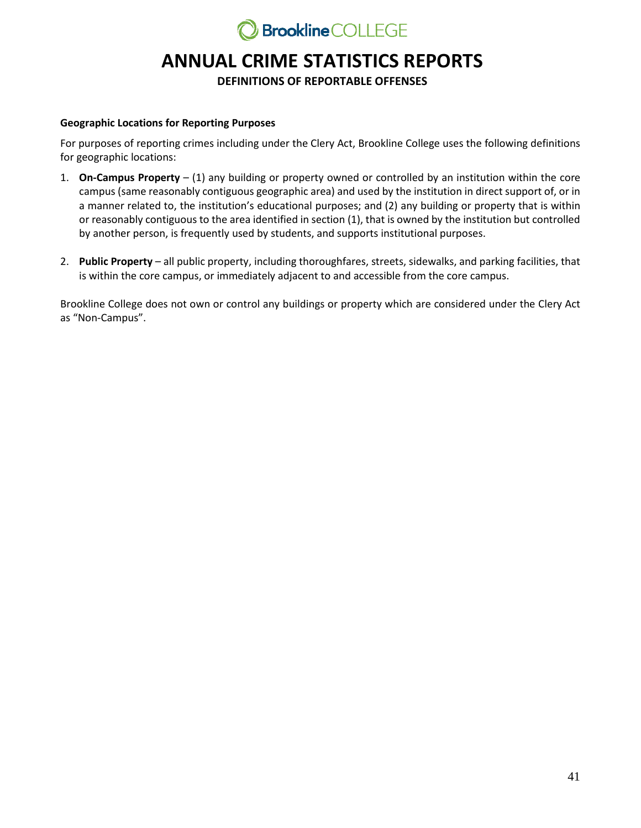![](_page_40_Picture_0.jpeg)

# **ANNUAL CRIME STATISTICS REPORTS**

**DEFINITIONS OF REPORTABLE OFFENSES**

#### **Geographic Locations for Reporting Purposes**

For purposes of reporting crimes including under the Clery Act, Brookline College uses the following definitions for geographic locations:

- 1. **On-Campus Property** (1) any building or property owned or controlled by an institution within the core campus (same reasonably contiguous geographic area) and used by the institution in direct support of, or in a manner related to, the institution's educational purposes; and (2) any building or property that is within or reasonably contiguous to the area identified in section (1), that is owned by the institution but controlled by another person, is frequently used by students, and supports institutional purposes.
- 2. **Public Property** all public property, including thoroughfares, streets, sidewalks, and parking facilities, that is within the core campus, or immediately adjacent to and accessible from the core campus.

Brookline College does not own or control any buildings or property which are considered under the Clery Act as "Non-Campus".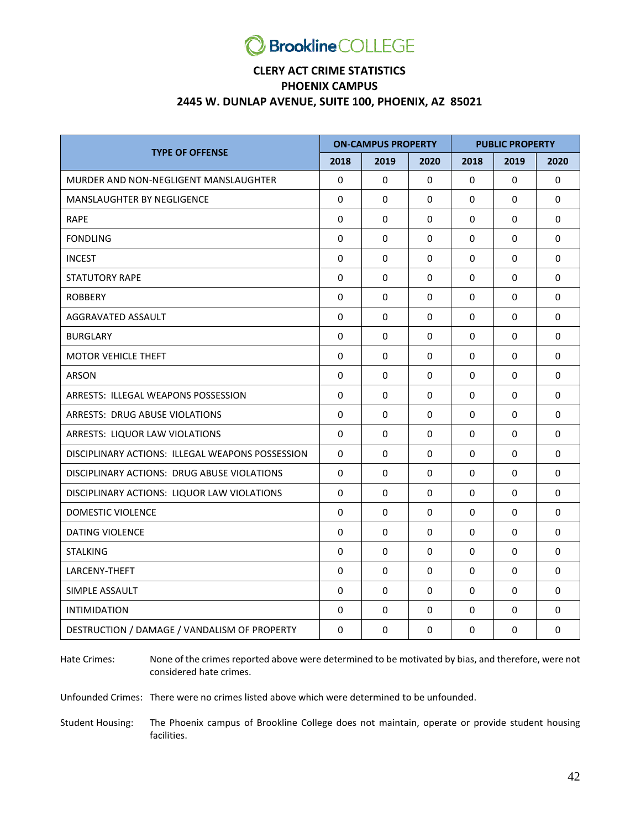![](_page_41_Picture_0.jpeg)

# **CLERY ACT CRIME STATISTICS 4670 AUTO MALL PARKWAY, FREMONT, CA 94538 PHOENIX CAMPUS 2445 W. DUNLAP AVENUE, SUITE 100, PHOENIX, AZ 85021**

| <b>TYPE OF OFFENSE</b>                           |           | <b>ON-CAMPUS PROPERTY</b> |             |          | <b>PUBLIC PROPERTY</b> |             |  |  |
|--------------------------------------------------|-----------|---------------------------|-------------|----------|------------------------|-------------|--|--|
|                                                  | 2018      | 2019                      | 2020        | 2018     | 2019                   | 2020        |  |  |
| MURDER AND NON-NEGLIGENT MANSLAUGHTER            | 0         | $\Omega$                  | $\mathbf 0$ | $\Omega$ | 0                      | $\Omega$    |  |  |
| <b>MANSLAUGHTER BY NEGLIGENCE</b>                | 0         | $\Omega$                  | $\Omega$    | $\Omega$ | $\Omega$               | $\Omega$    |  |  |
| <b>RAPE</b>                                      | 0         | 0                         | $\mathbf 0$ | 0        | 0                      | $\Omega$    |  |  |
| <b>FONDLING</b>                                  | 0         | $\Omega$                  | $\Omega$    | 0        | 0                      | $\Omega$    |  |  |
| <b>INCEST</b>                                    | 0         | 0                         | 0           | 0        | $\pmb{0}$              | 0           |  |  |
| <b>STATUTORY RAPE</b>                            | 0         | 0                         | 0           | $\Omega$ | $\Omega$               | 0           |  |  |
| <b>ROBBERY</b>                                   | 0         | $\Omega$                  | $\Omega$    | $\Omega$ | $\Omega$               | 0           |  |  |
| AGGRAVATED ASSAULT                               | 0         | 0                         | 0           | 0        | $\Omega$               | 0           |  |  |
| <b>BURGLARY</b>                                  | 0         | $\mathbf 0$               | $\pmb{0}$   | $\Omega$ | $\mathbf 0$            | $\mathbf 0$ |  |  |
| <b>MOTOR VEHICLE THEFT</b>                       | 0         | 0                         | 0           | $\Omega$ | 0                      | $\Omega$    |  |  |
| <b>ARSON</b>                                     | 0         | $\Omega$                  | $\Omega$    | 0        | $\Omega$               | $\Omega$    |  |  |
| ARRESTS: ILLEGAL WEAPONS POSSESSION              | 0         | 0                         | $\mathbf 0$ | $\Omega$ | 0                      | $\Omega$    |  |  |
| <b>ARRESTS: DRUG ABUSE VIOLATIONS</b>            | 0         | 0                         | 0           | 0        | 0                      | $\Omega$    |  |  |
| ARRESTS: LIQUOR LAW VIOLATIONS                   | $\pmb{0}$ | 0                         | 0           | 0        | 0                      | 0           |  |  |
| DISCIPLINARY ACTIONS: ILLEGAL WEAPONS POSSESSION | 0         | 0                         | 0           | 0        | 0                      | 0           |  |  |
| DISCIPLINARY ACTIONS: DRUG ABUSE VIOLATIONS      | 0         | $\Omega$                  | $\Omega$    | $\Omega$ | $\Omega$               | $\Omega$    |  |  |
| DISCIPLINARY ACTIONS: LIQUOR LAW VIOLATIONS      | 0         | 0                         | $\Omega$    | $\Omega$ | 0                      | 0           |  |  |
| DOMESTIC VIOLENCE                                | 0         | 0                         | $\mathbf 0$ | $\Omega$ | 0                      | $\Omega$    |  |  |
| <b>DATING VIOLENCE</b>                           | 0         | 0                         | 0           | $\Omega$ | 0                      | $\Omega$    |  |  |
| <b>STALKING</b>                                  | 0         | 0                         | 0           | 0        | 0                      | $\Omega$    |  |  |
| LARCENY-THEFT                                    | 0         | 0                         | 0           | 0        | 0                      | 0           |  |  |
| SIMPLE ASSAULT                                   | 0         | 0                         | 0           | 0        | 0                      | 0           |  |  |
| <b>INTIMIDATION</b>                              | 0         | 0                         | 0           | 0        | 0                      | 0           |  |  |
| DESTRUCTION / DAMAGE / VANDALISM OF PROPERTY     | 0         | 0                         | $\Omega$    | 0        | 0                      | $\Omega$    |  |  |

Hate Crimes: None of the crimes reported above were determined to be motivated by bias, and therefore, were not considered hate crimes.

Unfounded Crimes: There were no crimes listed above which were determined to be unfounded.

Student Housing: The Phoenix campus of Brookline College does not maintain, operate or provide student housing facilities.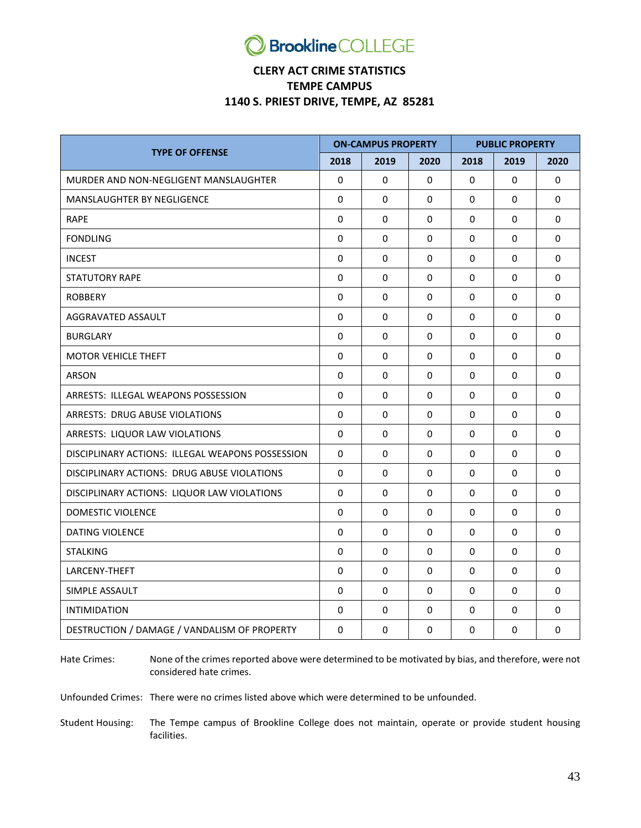![](_page_42_Picture_0.jpeg)

# **CLERY ACT CRIME STATISTICS 4670 AUTO MALL PARKWAY, FREMONT, CA 94538 TEMPE CAMPUS 1140 S. PRIEST DRIVE, TEMPE, AZ 85281**

|                                                  |             | <b>ON-CAMPUS PROPERTY</b> |             |          | <b>PUBLIC PROPERTY</b> |          |  |  |
|--------------------------------------------------|-------------|---------------------------|-------------|----------|------------------------|----------|--|--|
| <b>TYPE OF OFFENSE</b>                           | 2018        | 2019                      | 2020        | 2018     | 2019                   | 2020     |  |  |
| MURDER AND NON-NEGLIGENT MANSLAUGHTER            | 0           | $\Omega$                  | 0           | 0        | 0                      | $\Omega$ |  |  |
| <b>MANSLAUGHTER BY NEGLIGENCE</b>                | 0           | $\mathbf 0$               | $\mathbf 0$ | $\Omega$ | $\mathbf 0$            | $\Omega$ |  |  |
| <b>RAPE</b>                                      | 0           | $\Omega$                  | $\mathbf 0$ | $\Omega$ | 0                      | $\Omega$ |  |  |
| <b>FONDLING</b>                                  | 0           | 0                         | 0           | 0        | 0                      | $\Omega$ |  |  |
| <b>INCEST</b>                                    | 0           | 0                         | 0           | 0        | 0                      | 0        |  |  |
| <b>STATUTORY RAPE</b>                            | 0           | 0                         | $\Omega$    | $\Omega$ | $\Omega$               | 0        |  |  |
| <b>ROBBERY</b>                                   | $\Omega$    | $\Omega$                  | $\Omega$    | $\Omega$ | $\Omega$               | $\Omega$ |  |  |
| AGGRAVATED ASSAULT                               | 0           | 0                         | 0           | 0        | 0                      | 0        |  |  |
| <b>BURGLARY</b>                                  | 0           | 0                         | 0           | 0        | 0                      | 0        |  |  |
| <b>MOTOR VEHICLE THEFT</b>                       | 0           | $\Omega$                  | $\Omega$    | $\Omega$ | $\Omega$               | $\Omega$ |  |  |
| ARSON                                            | 0           | 0                         | $\mathbf 0$ | $\Omega$ | 0                      | 0        |  |  |
| ARRESTS: ILLEGAL WEAPONS POSSESSION              | 0           | 0                         | 0           | $\Omega$ | 0                      | $\Omega$ |  |  |
| ARRESTS: DRUG ABUSE VIOLATIONS                   | 0           | 0                         | 0           | $\Omega$ | 0                      | $\Omega$ |  |  |
| ARRESTS: LIQUOR LAW VIOLATIONS                   | 0           | 0                         | 0           | $\Omega$ | 0                      | 0        |  |  |
| DISCIPLINARY ACTIONS: ILLEGAL WEAPONS POSSESSION | 0           | 0                         | 0           | $\Omega$ | 0                      | $\Omega$ |  |  |
| DISCIPLINARY ACTIONS: DRUG ABUSE VIOLATIONS      | $\Omega$    | $\Omega$                  | $\Omega$    | $\Omega$ | $\Omega$               | $\Omega$ |  |  |
| DISCIPLINARY ACTIONS: LIQUOR LAW VIOLATIONS      | 0           | 0                         | 0           | $\Omega$ | 0                      | 0        |  |  |
| DOMESTIC VIOLENCE                                | $\mathbf 0$ | 0                         | $\mathbf 0$ | $\Omega$ | $\mathbf 0$            | 0        |  |  |
| <b>DATING VIOLENCE</b>                           | 0           | 0                         | 0           | 0        | 0                      | 0        |  |  |
| <b>STALKING</b>                                  | $\mathbf 0$ | 0                         | $\Omega$    | $\Omega$ | $\Omega$               | $\Omega$ |  |  |
| LARCENY-THEFT                                    | 0           | 0                         | 0           | 0        | 0                      | 0        |  |  |
| SIMPLE ASSAULT                                   | 0           | 0                         | 0           | 0        | 0                      | 0        |  |  |
| <b>INTIMIDATION</b>                              | 0           | $\Omega$                  | 0           | 0        | 0                      | 0        |  |  |
| DESTRUCTION / DAMAGE / VANDALISM OF PROPERTY     | $\mathbf 0$ | 0                         | 0           | 0        | 0                      | 0        |  |  |

Hate Crimes: None of the crimes reported above were determined to be motivated by bias, and therefore, were not considered hate crimes.

Unfounded Crimes: There were no crimes listed above which were determined to be unfounded.

Student Housing: The Tempe campus of Brookline College does not maintain, operate or provide student housing facilities.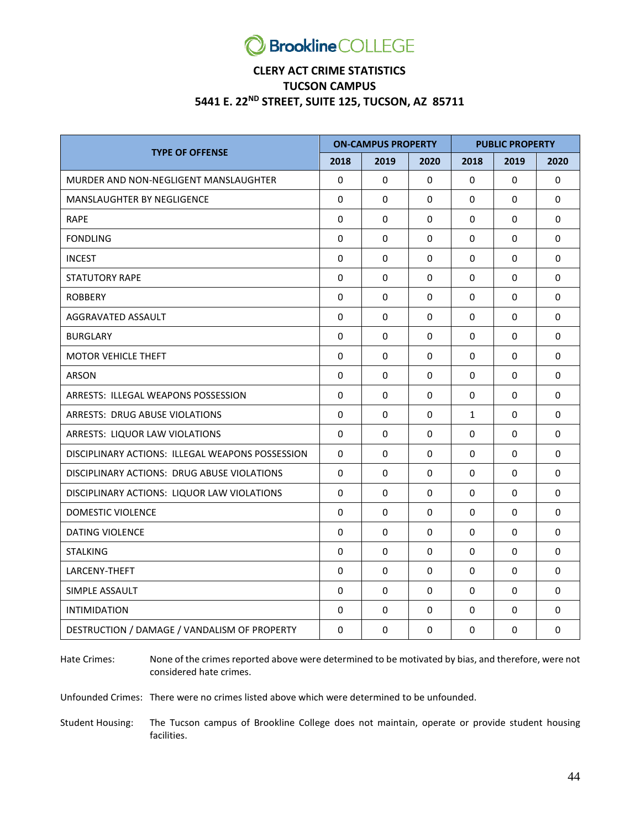![](_page_43_Picture_0.jpeg)

# **CLERY ACT CRIME STATISTICS 4670 AUTO MALL PARKWAY, FREMONT, CA 94538 TUCSON CAMPUS 5441 E. 22ND STREET, SUITE 125, TUCSON, AZ 85711**

| <b>TYPE OF OFFENSE</b>                           |             | <b>ON-CAMPUS PROPERTY</b> |             |              | <b>PUBLIC PROPERTY</b> |          |  |  |
|--------------------------------------------------|-------------|---------------------------|-------------|--------------|------------------------|----------|--|--|
|                                                  |             | 2019                      | 2020        | 2018         | 2019                   | 2020     |  |  |
| MURDER AND NON-NEGLIGENT MANSLAUGHTER            | $\mathbf 0$ | 0                         | $\mathbf 0$ | $\Omega$     | 0                      | $\Omega$ |  |  |
| MANSLAUGHTER BY NEGLIGENCE                       | 0           | $\Omega$                  | $\Omega$    | $\Omega$     | $\mathbf 0$            | $\Omega$ |  |  |
| <b>RAPE</b>                                      | 0           | 0                         | 0           | 0            | 0                      | 0        |  |  |
| <b>FONDLING</b>                                  | 0           | $\Omega$                  | $\Omega$    | $\Omega$     | $\Omega$               | $\Omega$ |  |  |
| <b>INCEST</b>                                    | 0           | 0                         | 0           | 0            | 0                      | 0        |  |  |
| <b>STATUTORY RAPE</b>                            | 0           | 0                         | 0           | 0            | 0                      | 0        |  |  |
| <b>ROBBERY</b>                                   | 0           | 0                         | 0           | $\Omega$     | 0                      | 0        |  |  |
| AGGRAVATED ASSAULT                               | 0           | $\Omega$                  | $\Omega$    | $\Omega$     | $\Omega$               | $\Omega$ |  |  |
| <b>BURGLARY</b>                                  | $\mathbf 0$ | $\mathbf 0$               | $\pmb{0}$   | $\Omega$     | $\Omega$               | $\Omega$ |  |  |
| <b>MOTOR VEHICLE THEFT</b>                       | $\Omega$    | 0                         | 0           | $\Omega$     | 0                      | $\Omega$ |  |  |
| <b>ARSON</b>                                     | $\Omega$    | $\Omega$                  | $\Omega$    | $\Omega$     | $\Omega$               | $\Omega$ |  |  |
| ARRESTS: ILLEGAL WEAPONS POSSESSION              | 0           | 0                         | $\mathbf 0$ | $\Omega$     | 0                      | $\Omega$ |  |  |
| ARRESTS: DRUG ABUSE VIOLATIONS                   | 0           | 0                         | 0           | $\mathbf{1}$ | 0                      | 0        |  |  |
| ARRESTS: LIQUOR LAW VIOLATIONS                   | 0           | 0                         | 0           | 0            | 0                      | 0        |  |  |
| DISCIPLINARY ACTIONS: ILLEGAL WEAPONS POSSESSION | 0           | 0                         | $\Omega$    | $\Omega$     | 0                      | 0        |  |  |
| DISCIPLINARY ACTIONS: DRUG ABUSE VIOLATIONS      | 0           | $\Omega$                  | $\Omega$    | $\Omega$     | $\Omega$               | $\Omega$ |  |  |
| DISCIPLINARY ACTIONS: LIQUOR LAW VIOLATIONS      | 0           | 0                         | $\Omega$    | $\Omega$     | 0                      | $\Omega$ |  |  |
| <b>DOMESTIC VIOLENCE</b>                         | $\mathbf 0$ | 0                         | $\pmb{0}$   | $\mathbf 0$  | $\mathbf 0$            | 0        |  |  |
| <b>DATING VIOLENCE</b>                           | 0           | $\Omega$                  | $\Omega$    | $\Omega$     | $\Omega$               | $\Omega$ |  |  |
| <b>STALKING</b>                                  | $\mathbf 0$ | 0                         | $\mathbf 0$ | $\Omega$     | 0                      | $\Omega$ |  |  |
| LARCENY-THEFT                                    | 0           | 0                         | 0           | $\Omega$     | 0                      | $\Omega$ |  |  |
| SIMPLE ASSAULT                                   | 0           | 0                         | $\pmb{0}$   | 0            | 0                      | 0        |  |  |
| <b>INTIMIDATION</b>                              | 0           | $\Omega$                  | 0           | 0            | 0                      | $\Omega$ |  |  |
| DESTRUCTION / DAMAGE / VANDALISM OF PROPERTY     | $\mathbf 0$ | 0                         | 0           | 0            | 0                      | 0        |  |  |

Hate Crimes: None of the crimes reported above were determined to be motivated by bias, and therefore, were not considered hate crimes.

Unfounded Crimes: There were no crimes listed above which were determined to be unfounded.

Student Housing: The Tucson campus of Brookline College does not maintain, operate or provide student housing facilities.